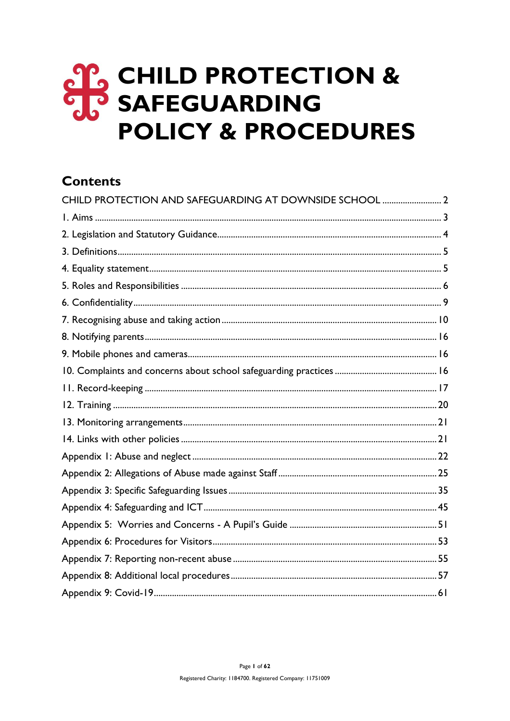# **OP CHILD PROTECTION & POLICY & PROCEDURES**

# **Contents**

| CHILD PROTECTION AND SAFEGUARDING AT DOWNSIDE SCHOOL  2 |  |
|---------------------------------------------------------|--|
|                                                         |  |
|                                                         |  |
|                                                         |  |
|                                                         |  |
|                                                         |  |
|                                                         |  |
|                                                         |  |
|                                                         |  |
|                                                         |  |
|                                                         |  |
|                                                         |  |
|                                                         |  |
|                                                         |  |
|                                                         |  |
|                                                         |  |
|                                                         |  |
|                                                         |  |
|                                                         |  |
|                                                         |  |
|                                                         |  |
|                                                         |  |
|                                                         |  |
|                                                         |  |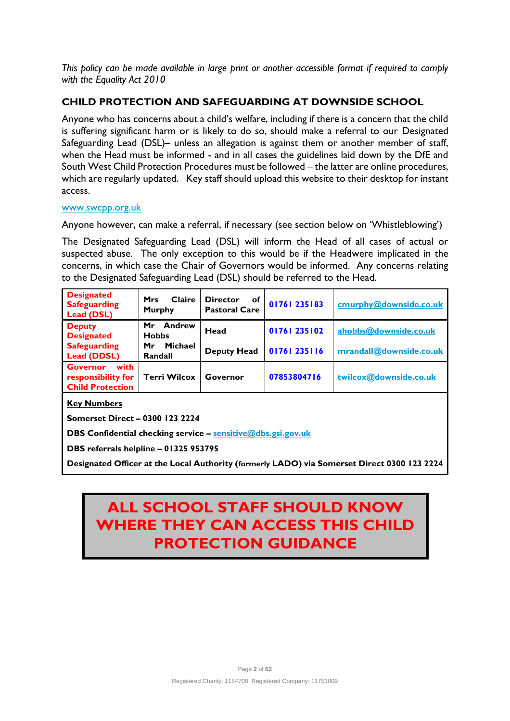*This policy can be made available in large print or another accessible format if required to comply with the Equality Act 2010*

# **CHILD PROTECTION AND SAFEGUARDING AT DOWNSIDE SCHOOL**

Anyone who has concerns about a child's welfare, including if there is a concern that the child is suffering significant harm or is likely to do so, should make a referral to our Designated Safeguarding Lead (DSL)– unless an allegation is against them or another member of staff, when the Head must be informed - and in all cases the guidelines laid down by the DfE and South West Child Protection Procedures must be followed – the latter are online procedures, which are regularly updated. Key staff should upload this website to their desktop for instant access.

#### [www.swcpp.org.uk](http://www.swcpp.org.uk/)

Anyone however, can make a referral, if necessary (see section below on 'Whistleblowing')

The Designated Safeguarding Lead (DSL) will inform the Head of all cases of actual or suspected abuse. The only exception to this would be if the Headwere implicated in the concerns, in which case the Chair of Governors would be informed. Any concerns relating to the Designated Safeguarding Lead (DSL) should be referred to the Head.

| <b>Designated</b><br><b>Safeguarding</b><br><b>Lead (DSL)</b>            | Claire<br><b>Mrs</b><br><b>Murphy</b> | <b>Director</b><br>оf<br><b>Pastoral Care</b> | 01761 235183 | cmurphy@downside.co.uk  |
|--------------------------------------------------------------------------|---------------------------------------|-----------------------------------------------|--------------|-------------------------|
| <b>Deputy</b><br><b>Designated</b>                                       | Andrew<br>Mr<br><b>Hobbs</b>          | Head                                          | 01761 235102 | ahobbs@downside.co.uk   |
| <b>Safeguarding</b><br><b>Lead (DDSL)</b>                                | Michael<br>Mr<br>Randall              | <b>Deputy Head</b>                            | 01761 235116 | mrandall@downside.co.uk |
| with<br><b>Governor</b><br>responsibility for<br><b>Child Protection</b> | <b>Terri Wilcox</b>                   | Governor                                      | 07853804716  | twilcox@downside.co.uk  |

**Key Numbers**

**Somerset Direct – 0300 123 2224**

**DBS Confidential checking service – [sensitive@dbs.gsi.gov.uk](mailto:sensitive@dbs.gsi.gov.uk)**

**DBS referrals helpline – 01325 953795**

**Designated Officer at the Local Authority (formerly LADO) via Somerset Direct 0300 123 2224** 

# **ALL SCHOOL STAFF SHOULD KNOW WHERE THEY CAN ACCESS THIS CHILD PROTECTION GUIDANCE**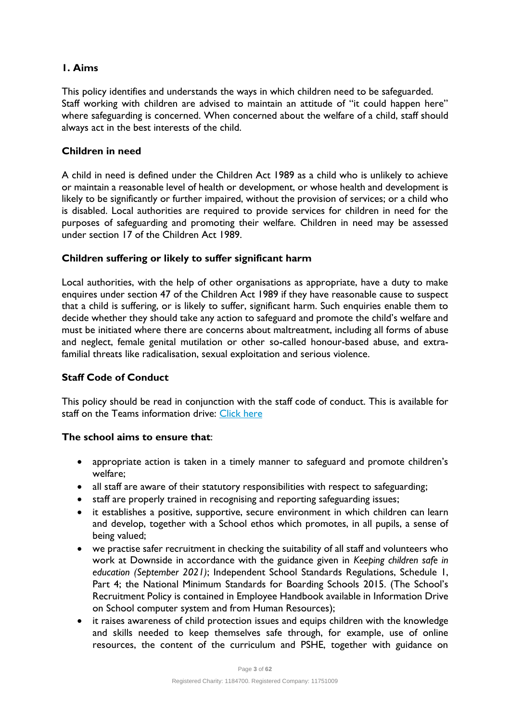# **1. Aims**

This policy identifies and understands the ways in which children need to be safeguarded. Staff working with children are advised to maintain an attitude of "it could happen here" where safeguarding is concerned. When concerned about the welfare of a child, staff should always act in the best interests of the child.

# **Children in need**

A child in need is defined under the Children Act 1989 as a child who is unlikely to achieve or maintain a reasonable level of health or development, or whose health and development is likely to be significantly or further impaired, without the provision of services; or a child who is disabled. Local authorities are required to provide services for children in need for the purposes of safeguarding and promoting their welfare. Children in need may be assessed under section 17 of the Children Act 1989.

#### **Children suffering or likely to suffer significant harm**

Local authorities, with the help of other organisations as appropriate, have a duty to make enquires under section 47 of the Children Act 1989 if they have reasonable cause to suspect that a child is suffering, or is likely to suffer, significant harm. Such enquiries enable them to decide whether they should take any action to safeguard and promote the child's welfare and must be initiated where there are concerns about maltreatment, including all forms of abuse and neglect, female genital mutilation or other so-called honour-based abuse, and extrafamilial threats like radicalisation, sexual exploitation and serious violence.

# **Staff Code of Conduct**

This policy should be read in conjunction with the staff code of conduct. This is available for staff on the Teams information drive: [Click here](https://teams.microsoft.com/l/file/64C6D487-7EFB-4B4E-8CFC-7DDF81D60B55?tenantId=36eb3f7c-2762-460f-ac55-978d917b290c&fileType=pdf&objectUrl=https%3A%2F%2Fdownsideschool.sharepoint.com%2Fsites%2FInformation%2FShared%20Documents%2FSchool%20Policies%2C%20Plans%20and%20Procedures%2FStandard%20Operating%20Procedures%20(SOPs)%2FCurrent%20SOPs%2FInternal%20Policies%2C%20Procedures%2C%20Protocols%20and%20Plans%2F2021%20Code%20of%20Conduct.pdf&baseUrl=https%3A%2F%2Fdownsideschool.sharepoint.com%2Fsites%2FInformation&serviceName=teams&threadId=19:4543ae9f4af64774a58324c3ee7dbaf1@thread.tacv2&groupId=656ca963-ab7e-42eb-b8df-10082ae29206)

#### **The school aims to ensure that**:

- appropriate action is taken in a timely manner to safeguard and promote children's welfare;
- all staff are aware of their statutory responsibilities with respect to safeguarding;
- staff are properly trained in recognising and reporting safeguarding issues;
- it establishes a positive, supportive, secure environment in which children can learn and develop, together with a School ethos which promotes, in all pupils, a sense of being valued;
- we practise safer recruitment in checking the suitability of all staff and volunteers who work at Downside in accordance with the guidance given in *Keeping children safe in education (September 2021)*; Independent School Standards Regulations, Schedule 1, Part 4; the National Minimum Standards for Boarding Schools 2015. (The School's Recruitment Policy is contained in Employee Handbook available in Information Drive on School computer system and from Human Resources);
- it raises awareness of child protection issues and equips children with the knowledge and skills needed to keep themselves safe through, for example, use of online resources, the content of the curriculum and PSHE, together with guidance on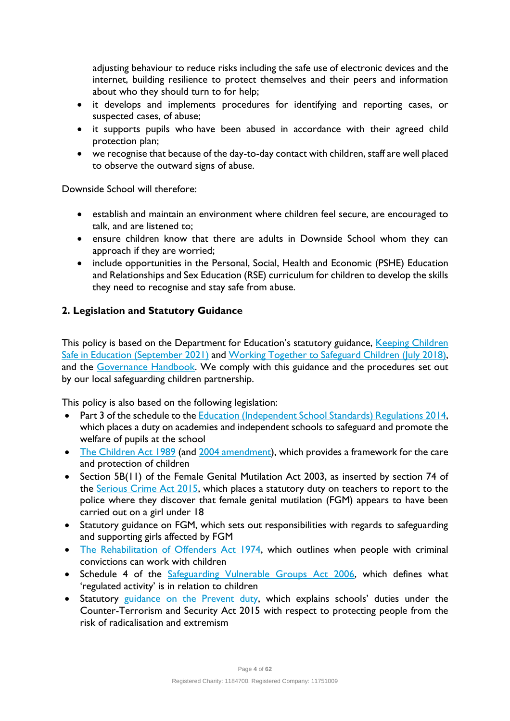adjusting behaviour to reduce risks including the safe use of electronic devices and the internet, building resilience to protect themselves and their peers and information about who they should turn to for help;

- it develops and implements procedures for identifying and reporting cases, or suspected cases, of abuse;
- it supports pupils who have been abused in accordance with their agreed child protection plan;
- we recognise that because of the day-to-day contact with children, staff are well placed to observe the outward signs of abuse.

Downside School will therefore:

- establish and maintain an environment where children feel secure, are encouraged to talk, and are listened to;
- ensure children know that there are adults in Downside School whom they can approach if they are worried;
- include opportunities in the Personal, Social, Health and Economic (PSHE) Education and Relationships and Sex Education (RSE) curriculum for children to develop the skills they need to recognise and stay safe from abuse.

# **2. Legislation and Statutory Guidance**

This policy is based on the Department for Education's statutory guidance, Keeping Children [Safe in Education](https://www.gov.uk/government/publications/keeping-children-safe-in-education--2) (September 2021) and [Working Together to Safeguard Children](https://www.gov.uk/government/publications/working-together-to-safeguard-children--2) (July 2018), and the [Governance Handbook.](https://www.gov.uk/government/publications/governance-handbook) We comply with this guidance and the procedures set out by our local safeguarding children partnership.

This policy is also based on the following legislation:

- Part 3 of the schedule to the [Education \(Independent School Standards\) Regulations 2014,](http://www.legislation.gov.uk/uksi/2014/3283/schedule/part/3/made) which places a duty on academies and independent schools to safeguard and promote the welfare of pupils at the school
- [The Children Act 1989](http://www.legislation.gov.uk/ukpga/1989/41) (an[d 2004 amendment\)](http://www.legislation.gov.uk/ukpga/2004/31/contents), which provides a framework for the care and protection of children
- Section 5B(11) of the Female Genital Mutilation Act 2003, as inserted by section 74 of the [Serious Crime Act 2015,](http://www.legislation.gov.uk/ukpga/2015/9/part/5/crossheading/female-genital-mutilation) which places a statutory duty on teachers to report to the police where they discover that female genital mutilation (FGM) appears to have been carried out on a girl under 18
- Statutory guidance on FGM, which sets out responsibilities with regards to safeguarding and supporting girls affected by FGM
- [The Rehabilitation of Offenders Act 1974,](http://www.legislation.gov.uk/ukpga/1974/53) which outlines when people with criminal convictions can work with children
- Schedule 4 of the [Safeguarding Vulnerable Groups Act 2006,](http://www.legislation.gov.uk/ukpga/2006/47/schedule/4) which defines what 'regulated activity' is in relation to children
- Statutory guidance [on the Prevent duty,](https://www.gov.uk/government/publications/prevent-duty-guidance) which explains schools' duties under the Counter-Terrorism and Security Act 2015 with respect to protecting people from the risk of radicalisation and extremism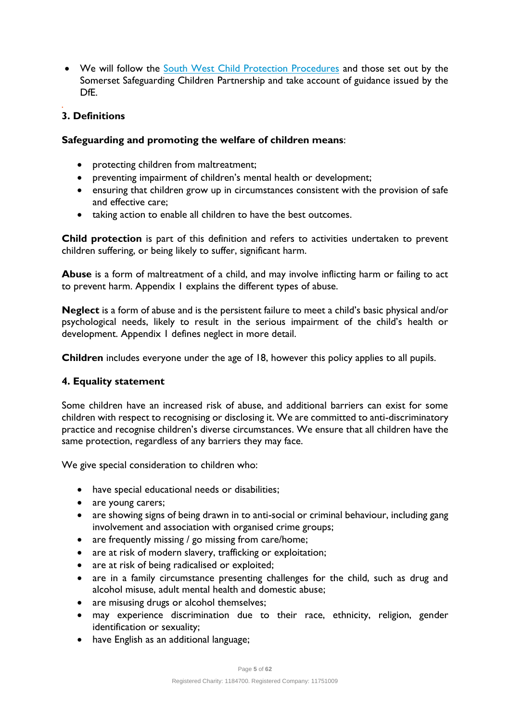• We will follow the [South West Child Protection Procedures](https://www.proceduresonline.com/swcpp/somerset/index.html) and those set out by the Somerset Safeguarding Children Partnership and take account of guidance issued by the DfE.

#### *.* **3. Definitions**

#### **Safeguarding and promoting the welfare of children means**:

- protecting children from maltreatment;
- preventing impairment of children's mental health or development;
- ensuring that children grow up in circumstances consistent with the provision of safe and effective care;
- taking action to enable all children to have the best outcomes.

**Child protection** is part of this definition and refers to activities undertaken to prevent children suffering, or being likely to suffer, significant harm.

**Abuse** is a form of maltreatment of a child, and may involve inflicting harm or failing to act to prevent harm. Appendix 1 explains the different types of abuse.

**Neglect** is a form of abuse and is the persistent failure to meet a child's basic physical and/or psychological needs, likely to result in the serious impairment of the child's health or development. Appendix 1 defines neglect in more detail.

**Children** includes everyone under the age of 18, however this policy applies to all pupils.

#### **4. Equality statement**

Some children have an increased risk of abuse, and additional barriers can exist for some children with respect to recognising or disclosing it. We are committed to anti-discriminatory practice and recognise children's diverse circumstances. We ensure that all children have the same protection, regardless of any barriers they may face.

We give special consideration to children who:

- have special educational needs or disabilities;
- are young carers;
- are showing signs of being drawn in to anti-social or criminal behaviour, including gang involvement and association with organised crime groups;
- are frequently missing / go missing from care/home;
- are at risk of modern slavery, trafficking or exploitation;
- are at risk of being radicalised or exploited;
- are in a family circumstance presenting challenges for the child, such as drug and alcohol misuse, adult mental health and domestic abuse;
- are misusing drugs or alcohol themselves;
- may experience discrimination due to their race, ethnicity, religion, gender identification or sexuality;
- have English as an additional language;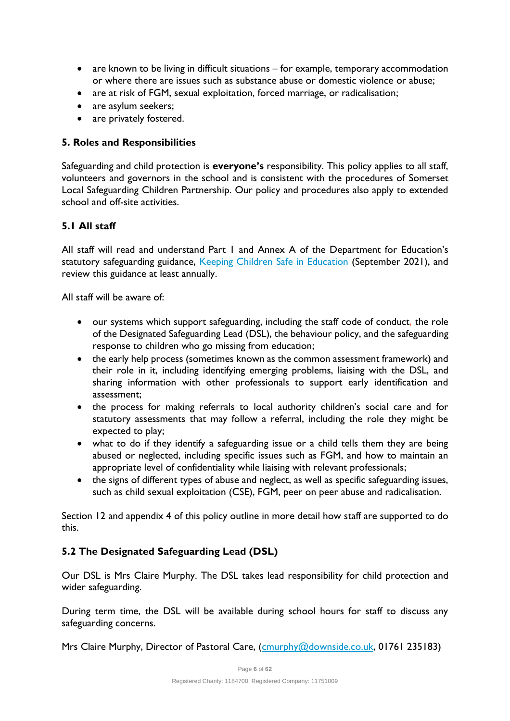- are known to be living in difficult situations for example, temporary accommodation or where there are issues such as substance abuse or domestic violence or abuse;
- are at risk of FGM, sexual exploitation, forced marriage, or radicalisation;
- are asylum seekers;
- are privately fostered.

# **5. Roles and Responsibilities**

Safeguarding and child protection is **everyone's** responsibility. This policy applies to all staff, volunteers and governors in the school and is consistent with the procedures of Somerset Local Safeguarding Children Partnership. Our policy and procedures also apply to extended school and off-site activities.

# **5.1 All staff**

All staff will read and understand Part 1 and Annex A of the Department for Education's statutory safeguarding guidance, [Keeping Children Safe in Education](https://www.gov.uk/government/publications/keeping-children-safe-in-education--2) (September 2021), and review this guidance at least annually.

All staff will be aware of:

- our systems which support safeguarding, including the staff code of conduct, the role of the Designated Safeguarding Lead (DSL), the behaviour policy, and the safeguarding response to children who go missing from education;
- the early help process (sometimes known as the common assessment framework) and their role in it, including identifying emerging problems, liaising with the DSL, and sharing information with other professionals to support early identification and assessment;
- the process for making referrals to local authority children's social care and for statutory assessments that may follow a referral, including the role they might be expected to play;
- what to do if they identify a safeguarding issue or a child tells them they are being abused or neglected, including specific issues such as FGM, and how to maintain an appropriate level of confidentiality while liaising with relevant professionals;
- the signs of different types of abuse and neglect, as well as specific safeguarding issues, such as child sexual exploitation (CSE), FGM, peer on peer abuse and radicalisation.

Section 12 and appendix 4 of this policy outline in more detail how staff are supported to do this.

# **5.2 The Designated Safeguarding Lead (DSL)**

Our DSL is Mrs Claire Murphy. The DSL takes lead responsibility for child protection and wider safeguarding.

During term time, the DSL will be available during school hours for staff to discuss any safeguarding concerns.

Mrs Claire Murphy, Director of Pastoral Care, [\(cmurphy@downside.co.uk,](mailto:cmurphy@downside.co.uk) 01761 235183)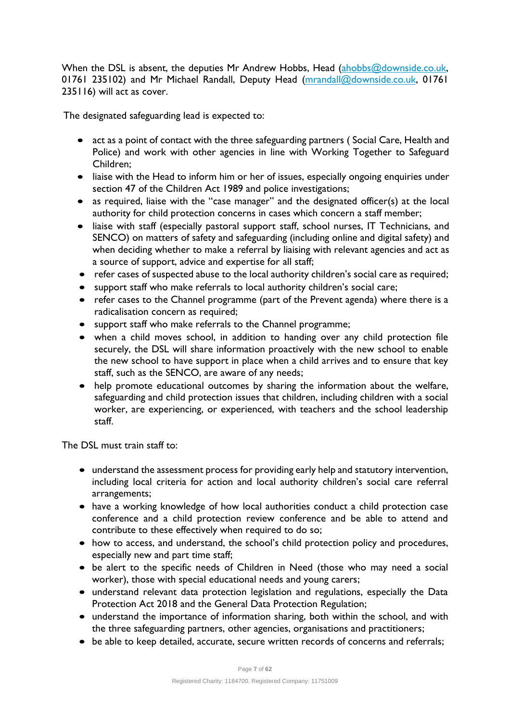When the DSL is absent, the deputies Mr Andrew Hobbs, Head [\(ahobbs@downside.co.uk,](mailto:ahobbs@downside.co.uk) 01761 235102) and Mr Michael Randall, Deputy Head [\(mrandall@downside.co.uk,](mailto:mrandall@downside.co.uk) 01761 235116) will act as cover.

The designated safeguarding lead is expected to:

- act as a point of contact with the three safeguarding partners (Social Care, Health and Police) and work with other agencies in line with Working Together to Safeguard Children;
- liaise with the Head to inform him or her of issues, especially ongoing enquiries under section 47 of the Children Act 1989 and police investigations;
- as required, liaise with the "case manager" and the designated officer(s) at the local authority for child protection concerns in cases which concern a staff member;
- liaise with staff (especially pastoral support staff, school nurses, IT Technicians, and SENCO) on matters of safety and safeguarding (including online and digital safety) and when deciding whether to make a referral by liaising with relevant agencies and act as a source of support, advice and expertise for all staff;
- refer cases of suspected abuse to the local authority children's social care as required;
- support staff who make referrals to local authority children's social care;
- refer cases to the Channel programme (part of the Prevent agenda) where there is a radicalisation concern as required;
- support staff who make referrals to the Channel programme;
- when a child moves school, in addition to handing over any child protection file securely, the DSL will share information proactively with the new school to enable the new school to have support in place when a child arrives and to ensure that key staff, such as the SENCO, are aware of any needs;
- help promote educational outcomes by sharing the information about the welfare, safeguarding and child protection issues that children, including children with a social worker, are experiencing, or experienced, with teachers and the school leadership staff.

The DSL must train staff to:

- understand the assessment process for providing early help and statutory intervention, including local criteria for action and local authority children's social care referral arrangements;
- have a working knowledge of how local authorities conduct a child protection case conference and a child protection review conference and be able to attend and contribute to these effectively when required to do so;
- how to access, and understand, the school's child protection policy and procedures, especially new and part time staff;
- be alert to the specific needs of Children in Need (those who may need a social worker), those with special educational needs and young carers;
- understand relevant data protection legislation and regulations, especially the Data Protection Act 2018 and the General Data Protection Regulation;
- understand the importance of information sharing, both within the school, and with the three safeguarding partners, other agencies, organisations and practitioners;
- be able to keep detailed, accurate, secure written records of concerns and referrals;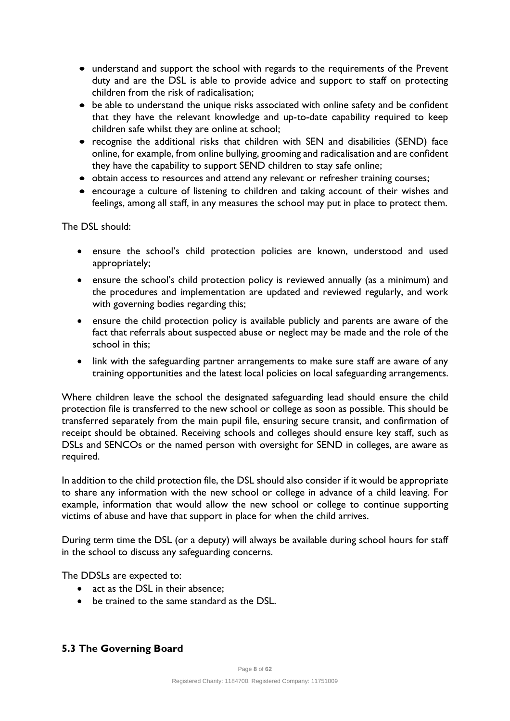- understand and support the school with regards to the requirements of the Prevent duty and are the DSL is able to provide advice and support to staff on protecting children from the risk of radicalisation;
- be able to understand the unique risks associated with online safety and be confident that they have the relevant knowledge and up-to-date capability required to keep children safe whilst they are online at school;
- recognise the additional risks that children with SEN and disabilities (SEND) face online, for example, from online bullying, grooming and radicalisation and are confident they have the capability to support SEND children to stay safe online;
- obtain access to resources and attend any relevant or refresher training courses;
- encourage a culture of listening to children and taking account of their wishes and feelings, among all staff, in any measures the school may put in place to protect them.

The DSL should:

- ensure the school's child protection policies are known, understood and used appropriately;
- ensure the school's child protection policy is reviewed annually (as a minimum) and the procedures and implementation are updated and reviewed regularly, and work with governing bodies regarding this;
- ensure the child protection policy is available publicly and parents are aware of the fact that referrals about suspected abuse or neglect may be made and the role of the school in this;
- link with the safeguarding partner arrangements to make sure staff are aware of any training opportunities and the latest local policies on local safeguarding arrangements.

Where children leave the school the designated safeguarding lead should ensure the child protection file is transferred to the new school or college as soon as possible. This should be transferred separately from the main pupil file, ensuring secure transit, and confirmation of receipt should be obtained. Receiving schools and colleges should ensure key staff, such as DSLs and SENCOs or the named person with oversight for SEND in colleges, are aware as required.

In addition to the child protection file, the DSL should also consider if it would be appropriate to share any information with the new school or college in advance of a child leaving. For example, information that would allow the new school or college to continue supporting victims of abuse and have that support in place for when the child arrives.

During term time the DSL (or a deputy) will always be available during school hours for staff in the school to discuss any safeguarding concerns.

The DDSLs are expected to:

- act as the DSL in their absence:
- be trained to the same standard as the DSL.

# **5.3 The Governing Board**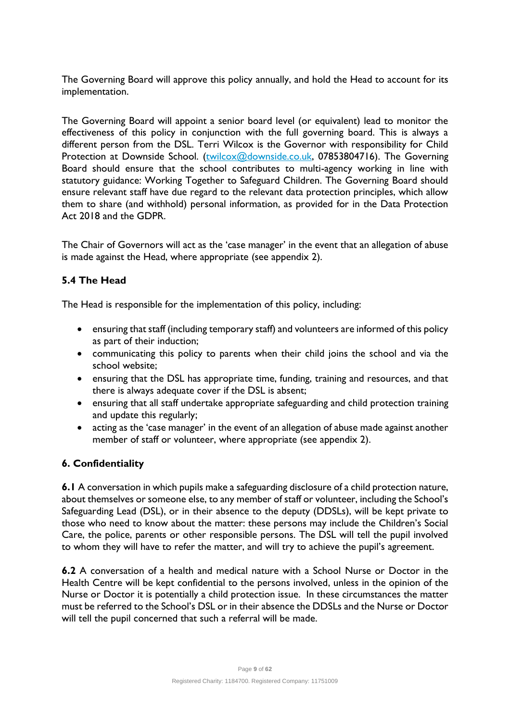The Governing Board will approve this policy annually, and hold the Head to account for its implementation.

The Governing Board will appoint a senior board level (or equivalent) lead to monitor the effectiveness of this policy in conjunction with the full governing board. This is always a different person from the DSL. Terri Wilcox is the Governor with responsibility for Child Protection at Downside School. [\(twilcox@downside.co.uk,](mailto:twilcox@downside.co.uk) 07853804716). The Governing Board should ensure that the school contributes to multi-agency working in line with statutory guidance: Working Together to Safeguard Children. The Governing Board should ensure relevant staff have due regard to the relevant data protection principles, which allow them to share (and withhold) personal information, as provided for in the Data Protection Act 2018 and the GDPR.

The Chair of Governors will act as the 'case manager' in the event that an allegation of abuse is made against the Head, where appropriate (see appendix 2).

# **5.4 The Head**

The Head is responsible for the implementation of this policy, including:

- ensuring that staff (including temporary staff) and volunteers are informed of this policy as part of their induction;
- communicating this policy to parents when their child joins the school and via the school website;
- ensuring that the DSL has appropriate time, funding, training and resources, and that there is always adequate cover if the DSL is absent;
- ensuring that all staff undertake appropriate safeguarding and child protection training and update this regularly;
- acting as the 'case manager' in the event of an allegation of abuse made against another member of staff or volunteer, where appropriate (see appendix 2).

# **6. Confidentiality**

**6.1** A conversation in which pupils make a safeguarding disclosure of a child protection nature, about themselves or someone else, to any member of staff or volunteer, including the School's Safeguarding Lead (DSL), or in their absence to the deputy (DDSLs), will be kept private to those who need to know about the matter: these persons may include the Children's Social Care, the police, parents or other responsible persons. The DSL will tell the pupil involved to whom they will have to refer the matter, and will try to achieve the pupil's agreement.

**6.2** A conversation of a health and medical nature with a School Nurse or Doctor in the Health Centre will be kept confidential to the persons involved, unless in the opinion of the Nurse or Doctor it is potentially a child protection issue. In these circumstances the matter must be referred to the School's DSL or in their absence the DDSLs and the Nurse or Doctor will tell the pupil concerned that such a referral will be made.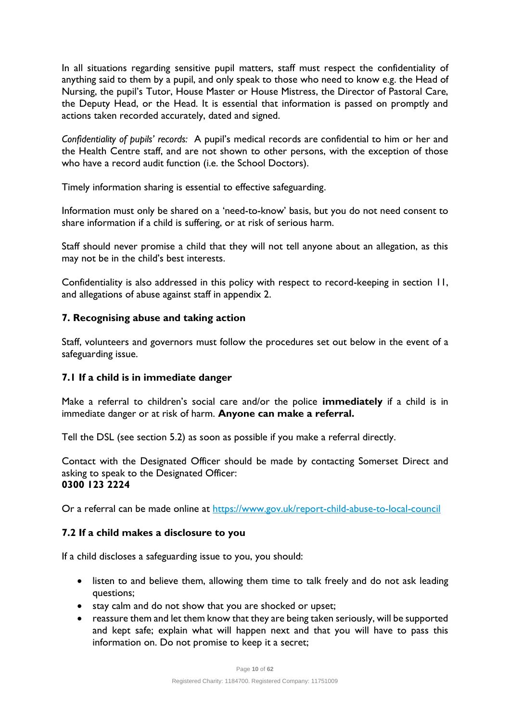In all situations regarding sensitive pupil matters, staff must respect the confidentiality of anything said to them by a pupil, and only speak to those who need to know e.g. the Head of Nursing, the pupil's Tutor, House Master or House Mistress, the Director of Pastoral Care, the Deputy Head, or the Head. It is essential that information is passed on promptly and actions taken recorded accurately, dated and signed.

*Confidentiality of pupils' records:* A pupil's medical records are confidential to him or her and the Health Centre staff, and are not shown to other persons, with the exception of those who have a record audit function (i.e. the School Doctors).

Timely information sharing is essential to effective safeguarding.

Information must only be shared on a 'need-to-know' basis, but you do not need consent to share information if a child is suffering, or at risk of serious harm.

Staff should never promise a child that they will not tell anyone about an allegation, as this may not be in the child's best interests.

Confidentiality is also addressed in this policy with respect to record-keeping in section 11, and allegations of abuse against staff in appendix 2.

# **7. Recognising abuse and taking action**

Staff, volunteers and governors must follow the procedures set out below in the event of a safeguarding issue.

# **7.1 If a child is in immediate danger**

Make a referral to children's social care and/or the police **immediately** if a child is in immediate danger or at risk of harm. **Anyone can make a referral.**

Tell the DSL (see section 5.2) as soon as possible if you make a referral directly.

Contact with the Designated Officer should be made by contacting Somerset Direct and asking to speak to the Designated Officer: **0300 123 2224**

Or a referral can be made online at<https://www.gov.uk/report-child-abuse-to-local-council>

# **7.2 If a child makes a disclosure to you**

If a child discloses a safeguarding issue to you, you should:

- listen to and believe them, allowing them time to talk freely and do not ask leading questions;
- stay calm and do not show that you are shocked or upset;
- reassure them and let them know that they are being taken seriously, will be supported and kept safe; explain what will happen next and that you will have to pass this information on. Do not promise to keep it a secret;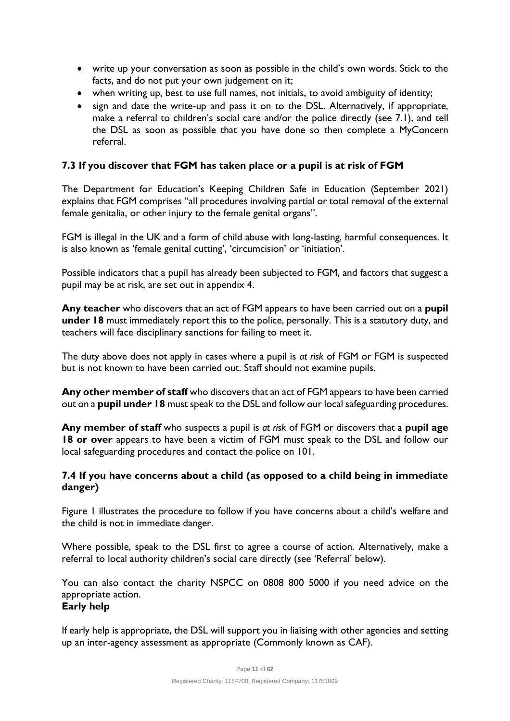- write up your conversation as soon as possible in the child's own words. Stick to the facts, and do not put your own judgement on it;
- when writing up, best to use full names, not initials, to avoid ambiguity of identity;
- sign and date the write-up and pass it on to the DSL. Alternatively, if appropriate, make a referral to children's social care and/or the police directly (see 7.1), and tell the DSL as soon as possible that you have done so then complete a MyConcern referral.

# **7.3 If you discover that FGM has taken place or a pupil is at risk of FGM**

The Department for Education's Keeping Children Safe in Education (September 2021) explains that FGM comprises "all procedures involving partial or total removal of the external female genitalia, or other injury to the female genital organs".

FGM is illegal in the UK and a form of child abuse with long-lasting, harmful consequences. It is also known as 'female genital cutting', 'circumcision' or 'initiation'.

Possible indicators that a pupil has already been subjected to FGM, and factors that suggest a pupil may be at risk, are set out in appendix 4.

**Any teacher** who discovers that an act of FGM appears to have been carried out on a **pupil under 18** must immediately report this to the police, personally. This is a statutory duty, and teachers will face disciplinary sanctions for failing to meet it.

The duty above does not apply in cases where a pupil is *at risk* of FGM or FGM is suspected but is not known to have been carried out. Staff should not examine pupils.

**Any other member of staff** who discovers that an act of FGM appears to have been carried out on a **pupil under 18** must speak to the DSL and follow our local safeguarding procedures.

**Any member of staff** who suspects a pupil is *at risk* of FGM or discovers that a **pupil age 18 or over** appears to have been a victim of FGM must speak to the DSL and follow our local safeguarding procedures and contact the police on 101.

# **7.4 If you have concerns about a child (as opposed to a child being in immediate danger)**

Figure 1 illustrates the procedure to follow if you have concerns about a child's welfare and the child is not in immediate danger.

Where possible, speak to the DSL first to agree a course of action. Alternatively, make a referral to local authority children's social care directly (see 'Referral' below).

You can also contact the charity NSPCC on 0808 800 5000 if you need advice on the appropriate action.

# **Early help**

If early help is appropriate, the DSL will support you in liaising with other agencies and setting up an inter-agency assessment as appropriate (Commonly known as CAF).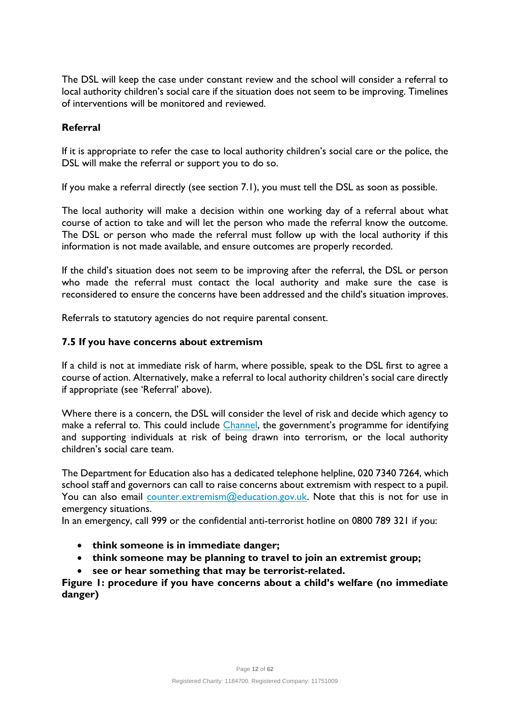The DSL will keep the case under constant review and the school will consider a referral to local authority children's social care if the situation does not seem to be improving. Timelines of interventions will be monitored and reviewed.

#### **Referral**

If it is appropriate to refer the case to local authority children's social care or the police, the DSL will make the referral or support you to do so.

If you make a referral directly (see section 7.1), you must tell the DSL as soon as possible.

The local authority will make a decision within one working day of a referral about what course of action to take and will let the person who made the referral know the outcome. The DSL or person who made the referral must follow up with the local authority if this information is not made available, and ensure outcomes are properly recorded.

If the child's situation does not seem to be improving after the referral, the DSL or person who made the referral must contact the local authority and make sure the case is reconsidered to ensure the concerns have been addressed and the child's situation improves.

Referrals to statutory agencies do not require parental consent.

#### **7.5 If you have concerns about extremism**

If a child is not at immediate risk of harm, where possible, speak to the DSL first to agree a course of action. Alternatively, make a referral to local authority children's social care directly if appropriate (see 'Referral' above).

Where there is a concern, the DSL will consider the level of risk and decide which agency to make a referral to. This could include *Channel*, the government's programme for identifying and supporting individuals at risk of being drawn into terrorism, or the local authority children's social care team.

The Department for Education also has a dedicated telephone helpline, 020 7340 7264, which school staff and governors can call to raise concerns about extremism with respect to a pupil. You can also email [counter.extremism@education.gov.uk.](mailto:counter.extremism@education.gov.uk) Note that this is not for use in emergency situations.

In an emergency, call 999 or the confidential anti-terrorist hotline on 0800 789 321 if you:

- **think someone is in immediate danger;**
- **think someone may be planning to travel to join an extremist group;**
- **see or hear something that may be terrorist-related.**

**Figure 1: procedure if you have concerns about a child's welfare (no immediate danger)**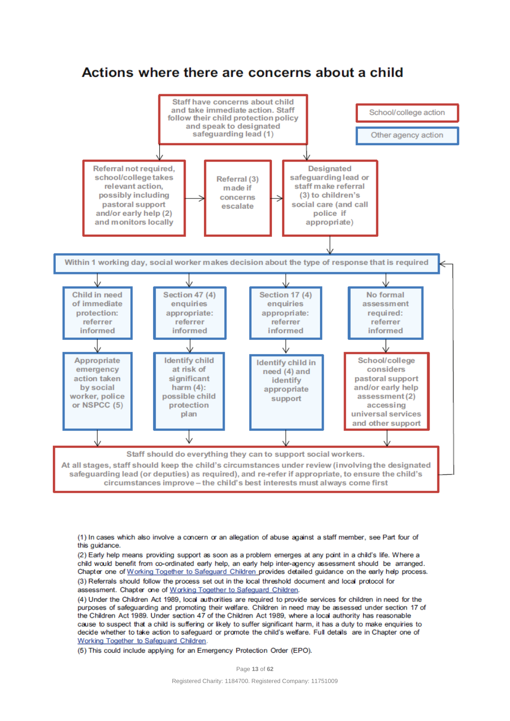# Actions where there are concerns about a child



(1) In cases which also involve a concern or an allegation of abuse against a staff member, see Part four of this guidance.

(2) Early help means providing support as soon as a problem emerges at any point in a child's life. Where a child would benefit from co-ordinated early help, an early help inter-agency assessment should be arranged. Chapter one of Working Together to Safeguard Children provides detailed guidance on the early help process. (3) Referrals should follow the process set out in the local threshold document and local protocol for assessment. Chapter one of Working Together to Safeguard Children.

(4) Under the Children Act 1989, local authorities are required to provide services for children in need for the purposes of safeguarding and promoting their welfare. Children in need may be assessed under section 17 of the Children Act 1989. Under section 47 of the Children Act 1989, where a local authority has reasonable cause to suspect that a child is suffering or likely to suffer significant harm, it has a duty to make enquiries to decide whether to take action to safeguard or promote the child's welfare. Full details are in Chapter one of Working Together to Safeguard Children.

(5) This could include applying for an Emergency Protection Order (EPO).

Page **13** of **62**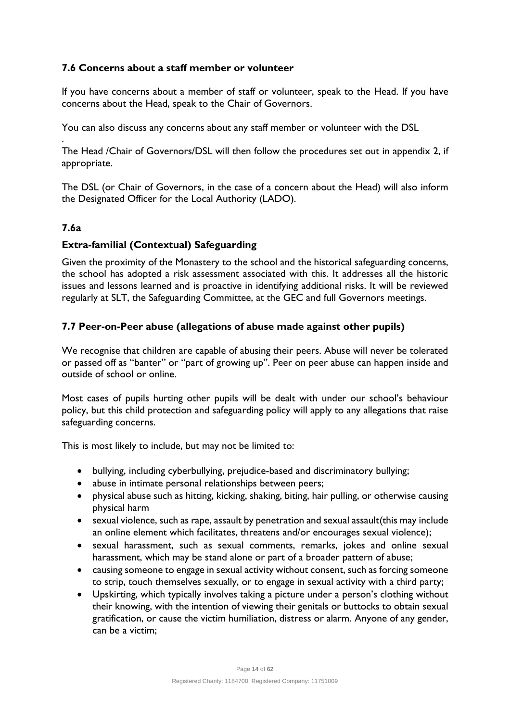# **7.6 Concerns about a staff member or volunteer**

If you have concerns about a member of staff or volunteer, speak to the Head. If you have concerns about the Head, speak to the Chair of Governors.

You can also discuss any concerns about any staff member or volunteer with the DSL

. The Head /Chair of Governors/DSL will then follow the procedures set out in appendix 2, if appropriate.

The DSL (or Chair of Governors, in the case of a concern about the Head) will also inform the Designated Officer for the Local Authority (LADO).

# **7.6a**

# **Extra-familial (Contextual) Safeguarding**

Given the proximity of the Monastery to the school and the historical safeguarding concerns, the school has adopted a risk assessment associated with this. It addresses all the historic issues and lessons learned and is proactive in identifying additional risks. It will be reviewed regularly at SLT, the Safeguarding Committee, at the GEC and full Governors meetings.

# **7.7 Peer-on-Peer abuse (allegations of abuse made against other pupils)**

We recognise that children are capable of abusing their peers. Abuse will never be tolerated or passed off as "banter" or "part of growing up". Peer on peer abuse can happen inside and outside of school or online.

Most cases of pupils hurting other pupils will be dealt with under our school's behaviour policy, but this child protection and safeguarding policy will apply to any allegations that raise safeguarding concerns.

This is most likely to include, but may not be limited to:

- bullying, including cyberbullying, prejudice-based and discriminatory bullying;
- abuse in intimate personal relationships between peers;
- physical abuse such as hitting, kicking, shaking, biting, hair pulling, or otherwise causing physical harm
- sexual violence, such as rape, assault by penetration and sexual assault(this may include an online element which facilitates, threatens and/or encourages sexual violence);
- sexual harassment, such as sexual comments, remarks, jokes and online sexual harassment, which may be stand alone or part of a broader pattern of abuse;
- causing someone to engage in sexual activity without consent, such as forcing someone to strip, touch themselves sexually, or to engage in sexual activity with a third party;
- Upskirting, which typically involves taking a picture under a person's clothing without their knowing, with the intention of viewing their genitals or buttocks to obtain sexual gratification, or cause the victim humiliation, distress or alarm. Anyone of any gender, can be a victim;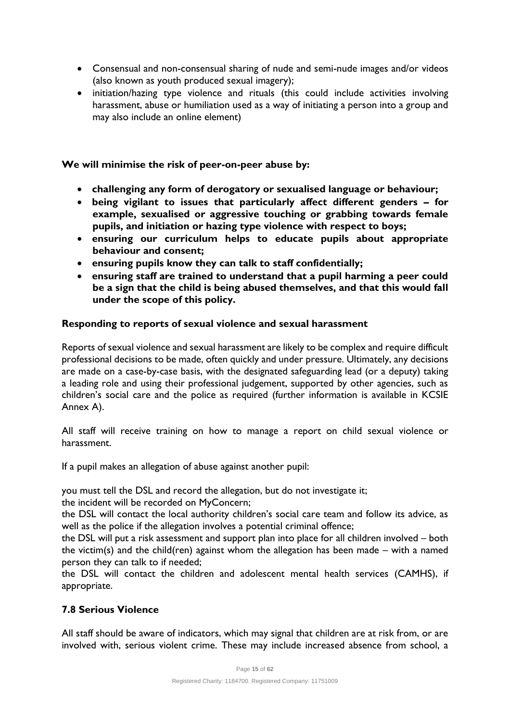- Consensual and non-consensual sharing of nude and semi-nude images and/or videos (also known as youth produced sexual imagery);
- initiation/hazing type violence and rituals (this could include activities involving harassment, abuse or humiliation used as a way of initiating a person into a group and may also include an online element)

#### **We will minimise the risk of peer-on-peer abuse by:**

- **challenging any form of derogatory or sexualised language or behaviour;**
- **being vigilant to issues that particularly affect different genders – for example, sexualised or aggressive touching or grabbing towards female pupils, and initiation or hazing type violence with respect to boys;**
- **ensuring our curriculum helps to educate pupils about appropriate behaviour and consent;**
- **ensuring pupils know they can talk to staff confidentially;**
- **ensuring staff are trained to understand that a pupil harming a peer could be a sign that the child is being abused themselves, and that this would fall under the scope of this policy.**

#### **Responding to reports of sexual violence and sexual harassment**

Reports of sexual violence and sexual harassment are likely to be complex and require difficult professional decisions to be made, often quickly and under pressure. Ultimately, any decisions are made on a case-by-case basis, with the designated safeguarding lead (or a deputy) taking a leading role and using their professional judgement, supported by other agencies, such as children's social care and the police as required (further information is available in KCSIE Annex A).

All staff will receive training on how to manage a report on child sexual violence or harassment.

If a pupil makes an allegation of abuse against another pupil:

you must tell the DSL and record the allegation, but do not investigate it;

the incident will be recorded on MyConcern;

the DSL will contact the local authority children's social care team and follow its advice, as well as the police if the allegation involves a potential criminal offence;

the DSL will put a risk assessment and support plan into place for all children involved – both the victim(s) and the child(ren) against whom the allegation has been made – with a named person they can talk to if needed;

the DSL will contact the children and adolescent mental health services (CAMHS), if appropriate.

# **7.8 Serious Violence**

All staff should be aware of indicators, which may signal that children are at risk from, or are involved with, serious violent crime. These may include increased absence from school, a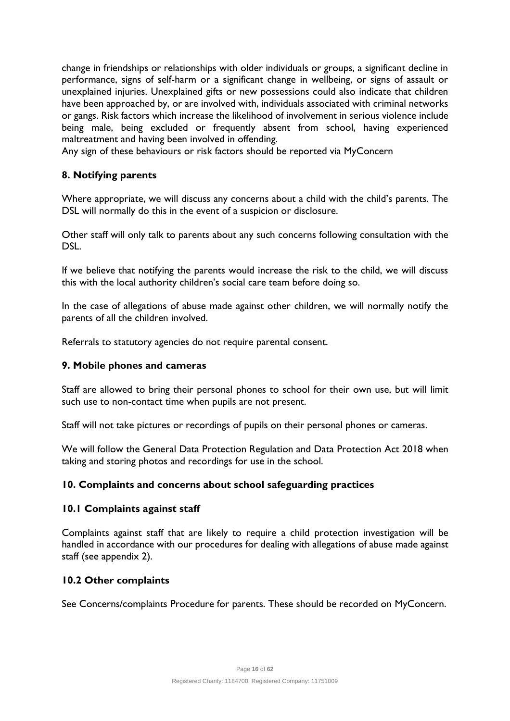change in friendships or relationships with older individuals or groups, a significant decline in performance, signs of self-harm or a significant change in wellbeing, or signs of assault or unexplained injuries. Unexplained gifts or new possessions could also indicate that children have been approached by, or are involved with, individuals associated with criminal networks or gangs. Risk factors which increase the likelihood of involvement in serious violence include being male, being excluded or frequently absent from school, having experienced maltreatment and having been involved in offending.

Any sign of these behaviours or risk factors should be reported via MyConcern

# **8. Notifying parents**

Where appropriate, we will discuss any concerns about a child with the child's parents. The DSL will normally do this in the event of a suspicion or disclosure.

Other staff will only talk to parents about any such concerns following consultation with the DSL.

If we believe that notifying the parents would increase the risk to the child, we will discuss this with the local authority children's social care team before doing so.

In the case of allegations of abuse made against other children, we will normally notify the parents of all the children involved.

Referrals to statutory agencies do not require parental consent.

#### **9. Mobile phones and cameras**

Staff are allowed to bring their personal phones to school for their own use, but will limit such use to non-contact time when pupils are not present.

Staff will not take pictures or recordings of pupils on their personal phones or cameras.

We will follow the General Data Protection Regulation and Data Protection Act 2018 when taking and storing photos and recordings for use in the school.

# **10. Complaints and concerns about school safeguarding practices**

#### **10.1 Complaints against staff**

Complaints against staff that are likely to require a child protection investigation will be handled in accordance with our procedures for dealing with allegations of abuse made against staff (see appendix 2).

# **10.2 Other complaints**

See Concerns/complaints Procedure for parents. These should be recorded on MyConcern.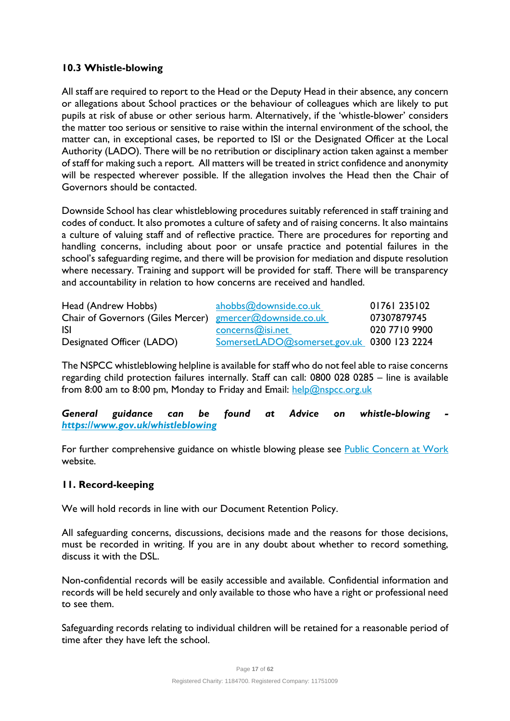# **10.3 Whistle-blowing**

All staff are required to report to the Head or the Deputy Head in their absence, any concern or allegations about School practices or the behaviour of colleagues which are likely to put pupils at risk of abuse or other serious harm. Alternatively, if the 'whistle-blower' considers the matter too serious or sensitive to raise within the internal environment of the school, the matter can, in exceptional cases, be reported to ISI or the Designated Officer at the Local Authority (LADO). There will be no retribution or disciplinary action taken against a member of staff for making such a report. All matters will be treated in strict confidence and anonymity will be respected wherever possible. If the allegation involves the Head then the Chair of Governors should be contacted.

Downside School has clear whistleblowing procedures suitably referenced in staff training and codes of conduct. It also promotes a culture of safety and of raising concerns. It also maintains a culture of valuing staff and of reflective practice. There are procedures for reporting and handling concerns, including about poor or unsafe practice and potential failures in the school's safeguarding regime, and there will be provision for mediation and dispute resolution where necessary. Training and support will be provided for staff. There will be transparency and accountability in relation to how concerns are received and handled.

| Head (Andrew Hobbs)                                      | ahobbs@downside.co.uk                      | 01761 235102  |
|----------------------------------------------------------|--------------------------------------------|---------------|
| Chair of Governors (Giles Mercer) gmercer@downside.co.uk |                                            | 07307879745   |
| <b>ISI</b>                                               | concerns@isi.net                           | 020 7710 9900 |
| Designated Officer (LADO)                                | SomersetLADO@somerset.gov.uk 0300 123 2224 |               |

The NSPCC whistleblowing helpline is available for staff who do not feel able to raise concerns regarding child protection failures internally. Staff can call: 0800 028 0285 – line is available from 8:00 am to 8:00 pm, Monday to Friday and Email: [help@nspcc.org.uk](mailto:help@nspcc.org.uk)

*General guidance can be found at Advice on whistle-blowing <https://www.gov.uk/whistleblowing>*

For further comprehensive guidance on whistle blowing please see [Public Concern at Work](http://www.pcaw.org.uk/) website.

# **11. Record-keeping**

We will hold records in line with our Document Retention Policy.

All safeguarding concerns, discussions, decisions made and the reasons for those decisions, must be recorded in writing. If you are in any doubt about whether to record something, discuss it with the DSL.

Non-confidential records will be easily accessible and available. Confidential information and records will be held securely and only available to those who have a right or professional need to see them.

Safeguarding records relating to individual children will be retained for a reasonable period of time after they have left the school.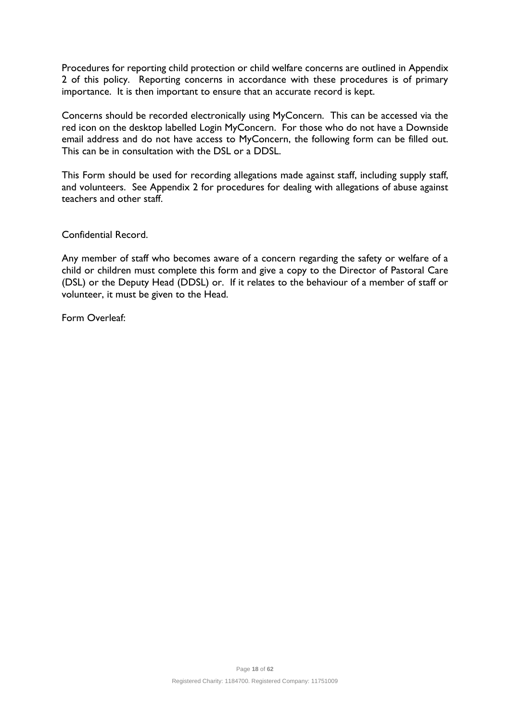Procedures for reporting child protection or child welfare concerns are outlined in Appendix 2 of this policy. Reporting concerns in accordance with these procedures is of primary importance. It is then important to ensure that an accurate record is kept.

Concerns should be recorded electronically using MyConcern. This can be accessed via the red icon on the desktop labelled Login MyConcern. For those who do not have a Downside email address and do not have access to MyConcern, the following form can be filled out. This can be in consultation with the DSL or a DDSL.

This Form should be used for recording allegations made against staff, including supply staff, and volunteers. See Appendix 2 for procedures for dealing with allegations of abuse against teachers and other staff.

Confidential Record.

Any member of staff who becomes aware of a concern regarding the safety or welfare of a child or children must complete this form and give a copy to the Director of Pastoral Care (DSL) or the Deputy Head (DDSL) or. If it relates to the behaviour of a member of staff or volunteer, it must be given to the Head.

Form Overleaf: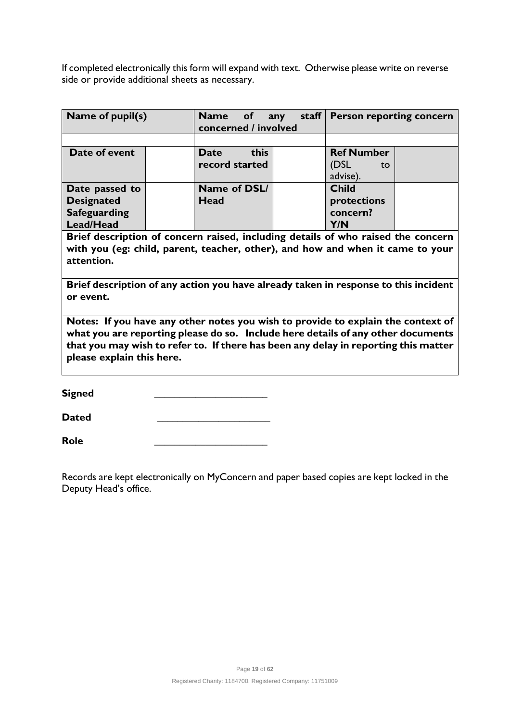If completed electronically this form will expand with text. Otherwise please write on reverse side or provide additional sheets as necessary.

| Name of pupil(s)    | staff $\vert$<br>Name of<br><b>Person reporting concern</b><br>any<br>concerned / involved |  |                   |  |
|---------------------|--------------------------------------------------------------------------------------------|--|-------------------|--|
|                     |                                                                                            |  |                   |  |
| Date of event       | this<br><b>Date</b>                                                                        |  | <b>Ref Number</b> |  |
|                     | record started                                                                             |  | (DSL<br>to        |  |
|                     |                                                                                            |  | advise).          |  |
| Date passed to      | Name of DSL/                                                                               |  | <b>Child</b>      |  |
| <b>Designated</b>   | Head                                                                                       |  | protections       |  |
| <b>Safeguarding</b> |                                                                                            |  | concern?          |  |
| Lead/Head           |                                                                                            |  | Y/N               |  |

**Brief description of concern raised, including details of who raised the concern with you (eg: child, parent, teacher, other), and how and when it came to your attention.**

**Brief description of any action you have already taken in response to this incident or event.**

**Notes: If you have any other notes you wish to provide to explain the context of what you are reporting please do so. Include here details of any other documents that you may wish to refer to. If there has been any delay in reporting this matter please explain this here.** 

**Signed \_\_\_\_\_\_\_\_\_\_\_\_\_\_\_\_\_\_\_\_\_\_** 

**Dated \_\_\_\_\_\_\_\_\_\_\_\_\_\_\_\_\_\_\_\_\_\_**

**Role \_\_\_\_\_\_\_\_\_\_\_\_\_\_\_\_\_\_\_\_\_\_**

Records are kept electronically on MyConcern and paper based copies are kept locked in the Deputy Head's office.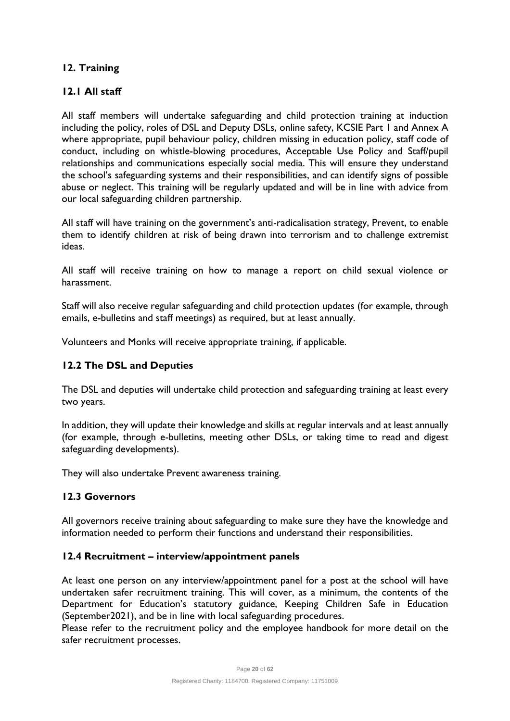# **12. Training**

# **12.1 All staff**

All staff members will undertake safeguarding and child protection training at induction including the policy, roles of DSL and Deputy DSLs, online safety, KCSIE Part 1 and Annex A where appropriate, pupil behaviour policy, children missing in education policy, staff code of conduct, including on whistle-blowing procedures, Acceptable Use Policy and Staff/pupil relationships and communications especially social media. This will ensure they understand the school's safeguarding systems and their responsibilities, and can identify signs of possible abuse or neglect. This training will be regularly updated and will be in line with advice from our local safeguarding children partnership.

All staff will have training on the government's anti-radicalisation strategy, Prevent, to enable them to identify children at risk of being drawn into terrorism and to challenge extremist ideas.

All staff will receive training on how to manage a report on child sexual violence or harassment.

Staff will also receive regular safeguarding and child protection updates (for example, through emails, e-bulletins and staff meetings) as required, but at least annually.

Volunteers and Monks will receive appropriate training, if applicable.

#### **12.2 The DSL and Deputies**

The DSL and deputies will undertake child protection and safeguarding training at least every two years.

In addition, they will update their knowledge and skills at regular intervals and at least annually (for example, through e-bulletins, meeting other DSLs, or taking time to read and digest safeguarding developments).

They will also undertake Prevent awareness training.

# **12.3 Governors**

All governors receive training about safeguarding to make sure they have the knowledge and information needed to perform their functions and understand their responsibilities.

#### **12.4 Recruitment – interview/appointment panels**

At least one person on any interview/appointment panel for a post at the school will have undertaken safer recruitment training. This will cover, as a minimum, the contents of the Department for Education's statutory guidance, Keeping Children Safe in Education (September2021), and be in line with local safeguarding procedures.

Please refer to the recruitment policy and the employee handbook for more detail on the safer recruitment processes.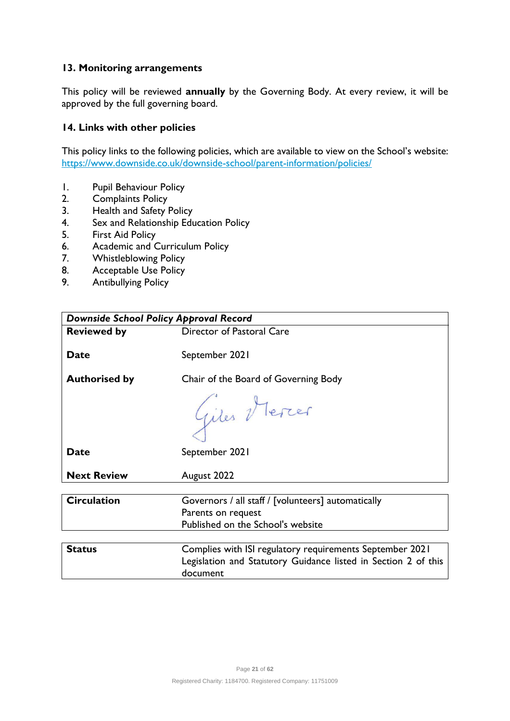# **13. Monitoring arrangements**

This policy will be reviewed **annually** by the Governing Body. At every review, it will be approved by the full governing board.

#### **14. Links with other policies**

This policy links to the following policies, which are available to view on the School's website: <https://www.downside.co.uk/downside-school/parent-information/policies/>

- 1. Pupil Behaviour Policy
- 2. Complaints Policy<br>3. Health and Safety
- Health and Safety Policy
- 4. Sex and Relationship Education Policy
- 5. First Aid Policy
- 6. Academic and Curriculum Policy<br>7. Whistleblowing Policy
- Whistleblowing Policy
- 8. Acceptable Use Policy
- 9. Antibullying Policy

| <b>Downside School Policy Approval Record</b> |                                                                |  |  |
|-----------------------------------------------|----------------------------------------------------------------|--|--|
| <b>Reviewed by</b>                            | Director of Pastoral Care                                      |  |  |
|                                               |                                                                |  |  |
| <b>Date</b>                                   | September 2021                                                 |  |  |
| <b>Authorised by</b>                          | Chair of the Board of Governing Body                           |  |  |
|                                               | Giles Mercer                                                   |  |  |
|                                               |                                                                |  |  |
| <b>Date</b>                                   | September 2021                                                 |  |  |
|                                               |                                                                |  |  |
| <b>Next Review</b>                            | August 2022                                                    |  |  |
|                                               |                                                                |  |  |
| <b>Circulation</b>                            | Governors / all staff / [volunteers] automatically             |  |  |
|                                               | Parents on request                                             |  |  |
|                                               | Published on the School's website                              |  |  |
|                                               |                                                                |  |  |
| <b>Status</b>                                 | Complies with ISI regulatory requirements September 2021       |  |  |
|                                               | Legislation and Statutory Guidance listed in Section 2 of this |  |  |
|                                               | document                                                       |  |  |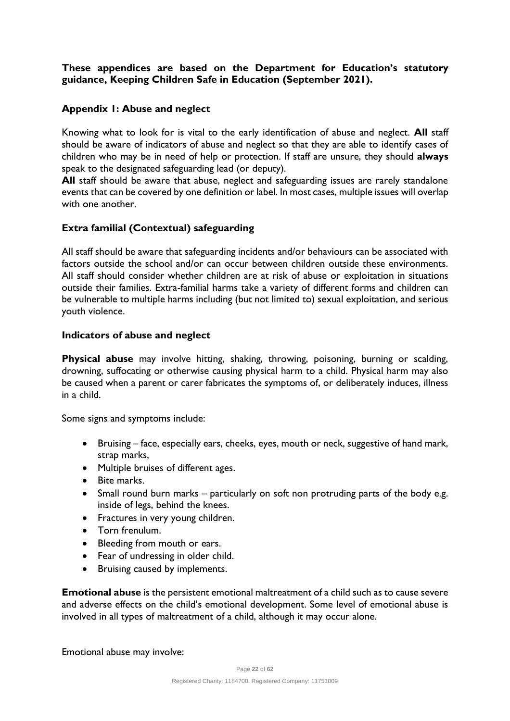# **These appendices are based on the Department for Education's statutory guidance, Keeping Children Safe in Education (September 2021).**

# **Appendix 1: Abuse and neglect**

Knowing what to look for is vital to the early identification of abuse and neglect. **All** staff should be aware of indicators of abuse and neglect so that they are able to identify cases of children who may be in need of help or protection. If staff are unsure, they should **always** speak to the designated safeguarding lead (or deputy).

All staff should be aware that abuse, neglect and safeguarding issues are rarely standalone events that can be covered by one definition or label. In most cases, multiple issues will overlap with one another.

# **Extra familial (Contextual) safeguarding**

All staff should be aware that safeguarding incidents and/or behaviours can be associated with factors outside the school and/or can occur between children outside these environments. All staff should consider whether children are at risk of abuse or exploitation in situations outside their families. Extra-familial harms take a variety of different forms and children can be vulnerable to multiple harms including (but not limited to) sexual exploitation, and serious youth violence.

#### **Indicators of abuse and neglect**

**Physical abuse** may involve hitting, shaking, throwing, poisoning, burning or scalding, drowning, suffocating or otherwise causing physical harm to a child. Physical harm may also be caused when a parent or carer fabricates the symptoms of, or deliberately induces, illness in a child.

Some signs and symptoms include:

- Bruising face, especially ears, cheeks, eyes, mouth or neck, suggestive of hand mark, strap marks,
- Multiple bruises of different ages.
- Bite marks.
- Small round burn marks particularly on soft non protruding parts of the body e.g. inside of legs, behind the knees.
- Fractures in very young children.
- Torn frenulum.
- Bleeding from mouth or ears.
- Fear of undressing in older child.
- Bruising caused by implements.

**Emotional abuse** is the persistent emotional maltreatment of a child such as to cause severe and adverse effects on the child's emotional development. Some level of emotional abuse is involved in all types of maltreatment of a child, although it may occur alone.

Emotional abuse may involve: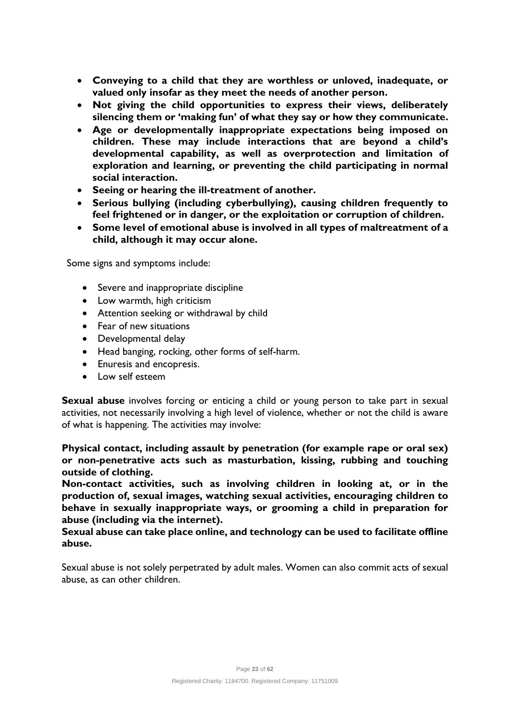- **Conveying to a child that they are worthless or unloved, inadequate, or valued only insofar as they meet the needs of another person.**
- **Not giving the child opportunities to express their views, deliberately silencing them or 'making fun' of what they say or how they communicate.**
- **Age or developmentally inappropriate expectations being imposed on children. These may include interactions that are beyond a child's developmental capability, as well as overprotection and limitation of exploration and learning, or preventing the child participating in normal social interaction.**
- **Seeing or hearing the ill-treatment of another.**
- **Serious bullying (including cyberbullying), causing children frequently to feel frightened or in danger, or the exploitation or corruption of children.**
- **Some level of emotional abuse is involved in all types of maltreatment of a child, although it may occur alone.**

Some signs and symptoms include:

- Severe and inappropriate discipline
- Low warmth, high criticism
- Attention seeking or withdrawal by child
- Fear of new situations
- Developmental delay
- Head banging, rocking, other forms of self-harm.
- Enuresis and encopresis.
- Low self esteem

**Sexual abuse** involves forcing or enticing a child or young person to take part in sexual activities, not necessarily involving a high level of violence, whether or not the child is aware of what is happening. The activities may involve:

**Physical contact, including assault by penetration (for example rape or oral sex) or non-penetrative acts such as masturbation, kissing, rubbing and touching outside of clothing.**

**Non-contact activities, such as involving children in looking at, or in the production of, sexual images, watching sexual activities, encouraging children to behave in sexually inappropriate ways, or grooming a child in preparation for abuse (including via the internet).**

**Sexual abuse can take place online, and technology can be used to facilitate offline abuse.**

Sexual abuse is not solely perpetrated by adult males. Women can also commit acts of sexual abuse, as can other children.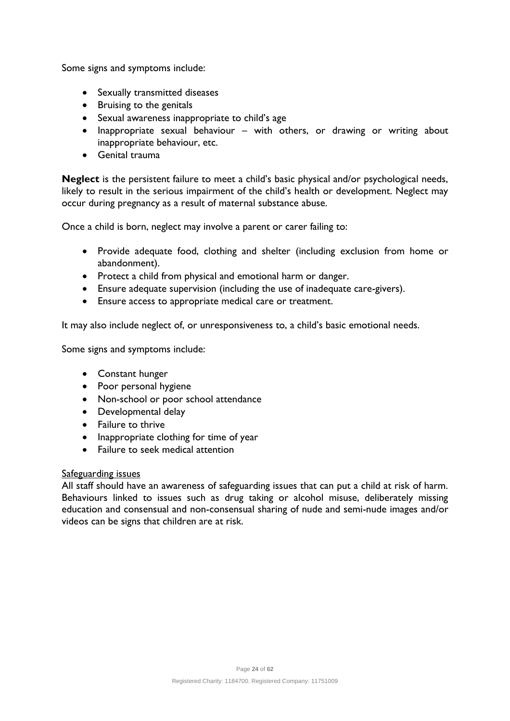Some signs and symptoms include:

- Sexually transmitted diseases
- Bruising to the genitals
- Sexual awareness inappropriate to child's age
- Inappropriate sexual behaviour with others, or drawing or writing about inappropriate behaviour, etc.
- Genital trauma

**Neglect** is the persistent failure to meet a child's basic physical and/or psychological needs, likely to result in the serious impairment of the child's health or development. Neglect may occur during pregnancy as a result of maternal substance abuse.

Once a child is born, neglect may involve a parent or carer failing to:

- Provide adequate food, clothing and shelter (including exclusion from home or abandonment).
- Protect a child from physical and emotional harm or danger.
- Ensure adequate supervision (including the use of inadequate care-givers).
- Ensure access to appropriate medical care or treatment.

It may also include neglect of, or unresponsiveness to, a child's basic emotional needs.

Some signs and symptoms include:

- Constant hunger
- Poor personal hygiene
- Non-school or poor school attendance
- Developmental delay
- Failure to thrive
- Inappropriate clothing for time of year
- Failure to seek medical attention

# Safeguarding issues

All staff should have an awareness of safeguarding issues that can put a child at risk of harm. Behaviours linked to issues such as drug taking or alcohol misuse, deliberately missing education and consensual and non-consensual sharing of nude and semi-nude images and/or videos can be signs that children are at risk.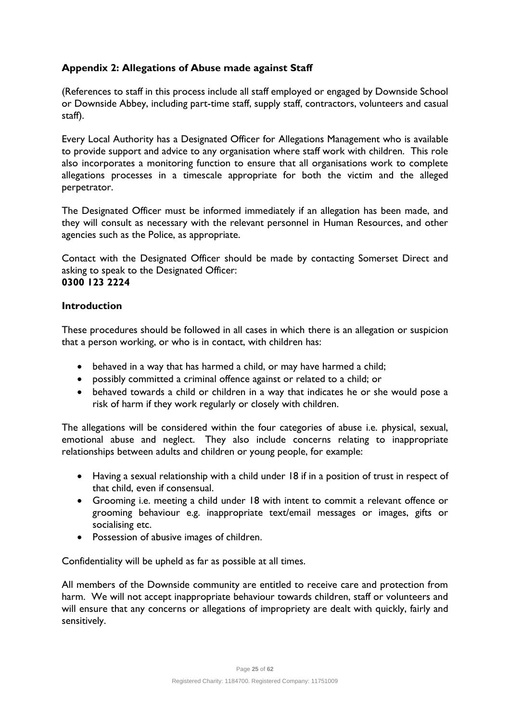# **Appendix 2: Allegations of Abuse made against Staff**

(References to staff in this process include all staff employed or engaged by Downside School or Downside Abbey, including part-time staff, supply staff, contractors, volunteers and casual staff).

Every Local Authority has a Designated Officer for Allegations Management who is available to provide support and advice to any organisation where staff work with children. This role also incorporates a monitoring function to ensure that all organisations work to complete allegations processes in a timescale appropriate for both the victim and the alleged perpetrator.

The Designated Officer must be informed immediately if an allegation has been made, and they will consult as necessary with the relevant personnel in Human Resources, and other agencies such as the Police, as appropriate.

Contact with the Designated Officer should be made by contacting Somerset Direct and asking to speak to the Designated Officer: **0300 123 2224**

#### **Introduction**

These procedures should be followed in all cases in which there is an allegation or suspicion that a person working, or who is in contact, with children has:

- behaved in a way that has harmed a child, or may have harmed a child;
- possibly committed a criminal offence against or related to a child; or
- behaved towards a child or children in a way that indicates he or she would pose a risk of harm if they work regularly or closely with children.

The allegations will be considered within the four categories of abuse i.e. physical, sexual, emotional abuse and neglect. They also include concerns relating to inappropriate relationships between adults and children or young people, for example:

- Having a sexual relationship with a child under 18 if in a position of trust in respect of that child, even if consensual.
- Grooming i.e. meeting a child under 18 with intent to commit a relevant offence or grooming behaviour e.g. inappropriate text/email messages or images, gifts or socialising etc.
- Possession of abusive images of children.

Confidentiality will be upheld as far as possible at all times.

All members of the Downside community are entitled to receive care and protection from harm. We will not accept inappropriate behaviour towards children, staff or volunteers and will ensure that any concerns or allegations of impropriety are dealt with quickly, fairly and sensitively.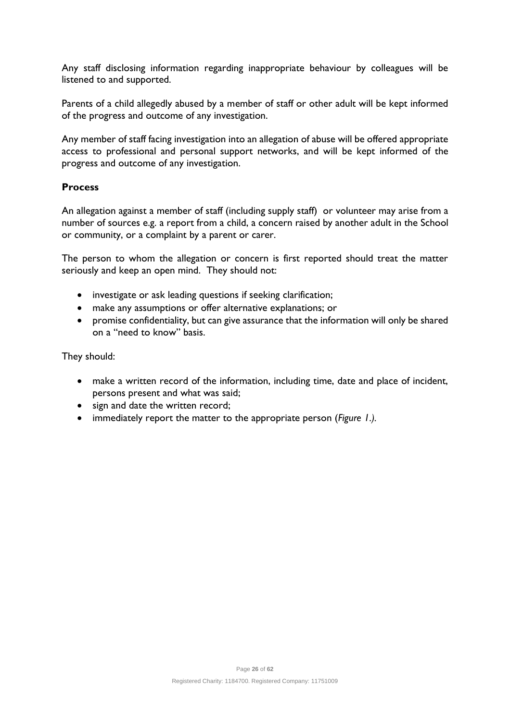Any staff disclosing information regarding inappropriate behaviour by colleagues will be listened to and supported.

Parents of a child allegedly abused by a member of staff or other adult will be kept informed of the progress and outcome of any investigation.

Any member of staff facing investigation into an allegation of abuse will be offered appropriate access to professional and personal support networks, and will be kept informed of the progress and outcome of any investigation.

# **Process**

An allegation against a member of staff (including supply staff) or volunteer may arise from a number of sources e.g. a report from a child, a concern raised by another adult in the School or community, or a complaint by a parent or carer.

The person to whom the allegation or concern is first reported should treat the matter seriously and keep an open mind. They should not:

- investigate or ask leading questions if seeking clarification;
- make any assumptions or offer alternative explanations; or
- promise confidentiality, but can give assurance that the information will only be shared on a "need to know" basis.

They should:

- make a written record of the information, including time, date and place of incident, persons present and what was said;
- sign and date the written record;
- immediately report the matter to the appropriate person (*Figure 1.).*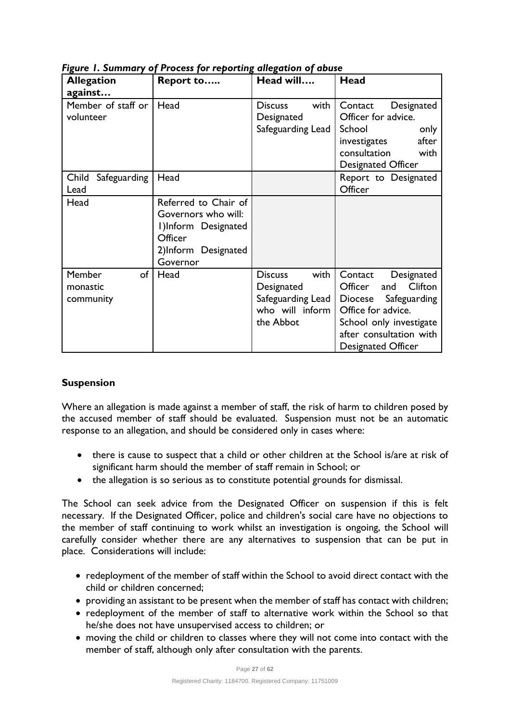| <b>Allegation</b>                            | Report to                                                                                                        | Head will                                                                                   | Head                                                                                                                                                                                |
|----------------------------------------------|------------------------------------------------------------------------------------------------------------------|---------------------------------------------------------------------------------------------|-------------------------------------------------------------------------------------------------------------------------------------------------------------------------------------|
| against<br>Member of staff or<br>volunteer   | Head                                                                                                             | with<br><b>Discuss</b><br>Designated<br>Safeguarding Lead                                   | Designated<br>Contact<br>Officer for advice.<br>School<br>only<br>after<br>investigates<br>consultation<br>with<br><b>Designated Officer</b>                                        |
| Child<br>Safeguarding<br>Lead                | Head                                                                                                             |                                                                                             | Report to Designated<br>Officer                                                                                                                                                     |
| Head                                         | Referred to Chair of<br>Governors who will:<br>I)Inform Designated<br>Officer<br>2)Inform Designated<br>Governor |                                                                                             |                                                                                                                                                                                     |
| <b>Member</b><br>of<br>monastic<br>community | Head                                                                                                             | with<br><b>Discuss</b><br>Designated<br>Safeguarding Lead  <br>who will inform<br>the Abbot | Designated<br>Contact<br>Clifton<br>Officer<br>and<br>Diocese Safeguarding<br>Office for advice.<br>School only investigate<br>after consultation with<br><b>Designated Officer</b> |

*Figure 1. Summary of Process for reporting allegation of abuse*

# **Suspension**

Where an allegation is made against a member of staff, the risk of harm to children posed by the accused member of staff should be evaluated. Suspension must not be an automatic response to an allegation, and should be considered only in cases where:

- there is cause to suspect that a child or other children at the School is/are at risk of significant harm should the member of staff remain in School; or
- the allegation is so serious as to constitute potential grounds for dismissal.

The School can seek advice from the Designated Officer on suspension if this is felt necessary. If the Designated Officer, police and children's social care have no objections to the member of staff continuing to work whilst an investigation is ongoing, the School will carefully consider whether there are any alternatives to suspension that can be put in place. Considerations will include:

- redeployment of the member of staff within the School to avoid direct contact with the child or children concerned;
- providing an assistant to be present when the member of staff has contact with children;
- redeployment of the member of staff to alternative work within the School so that he/she does not have unsupervised access to children; or
- moving the child or children to classes where they will not come into contact with the member of staff, although only after consultation with the parents.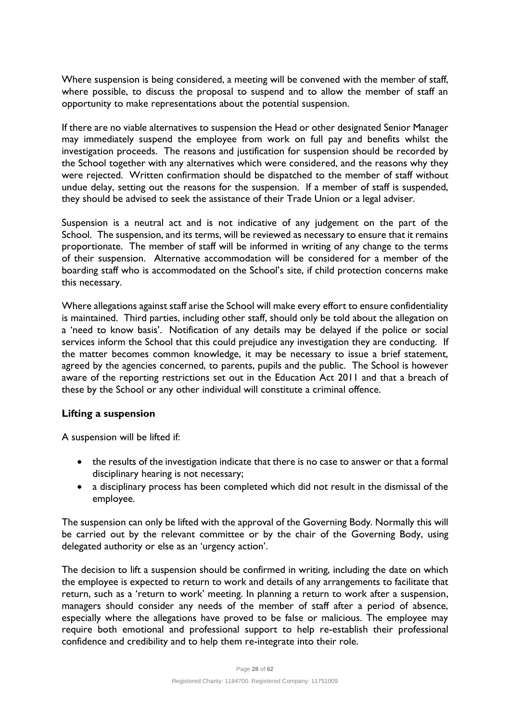Where suspension is being considered, a meeting will be convened with the member of staff, where possible, to discuss the proposal to suspend and to allow the member of staff an opportunity to make representations about the potential suspension.

If there are no viable alternatives to suspension the Head or other designated Senior Manager may immediately suspend the employee from work on full pay and benefits whilst the investigation proceeds. The reasons and justification for suspension should be recorded by the School together with any alternatives which were considered, and the reasons why they were rejected. Written confirmation should be dispatched to the member of staff without undue delay, setting out the reasons for the suspension. If a member of staff is suspended, they should be advised to seek the assistance of their Trade Union or a legal adviser.

Suspension is a neutral act and is not indicative of any judgement on the part of the School. The suspension, and its terms, will be reviewed as necessary to ensure that it remains proportionate. The member of staff will be informed in writing of any change to the terms of their suspension. Alternative accommodation will be considered for a member of the boarding staff who is accommodated on the School's site, if child protection concerns make this necessary.

Where allegations against staff arise the School will make every effort to ensure confidentiality is maintained. Third parties, including other staff, should only be told about the allegation on a 'need to know basis'. Notification of any details may be delayed if the police or social services inform the School that this could prejudice any investigation they are conducting. If the matter becomes common knowledge, it may be necessary to issue a brief statement, agreed by the agencies concerned, to parents, pupils and the public. The School is however aware of the reporting restrictions set out in the Education Act 2011 and that a breach of these by the School or any other individual will constitute a criminal offence.

# **Lifting a suspension**

A suspension will be lifted if:

- the results of the investigation indicate that there is no case to answer or that a formal disciplinary hearing is not necessary;
- a disciplinary process has been completed which did not result in the dismissal of the employee.

The suspension can only be lifted with the approval of the Governing Body. Normally this will be carried out by the relevant committee or by the chair of the Governing Body, using delegated authority or else as an 'urgency action'.

The decision to lift a suspension should be confirmed in writing, including the date on which the employee is expected to return to work and details of any arrangements to facilitate that return, such as a 'return to work' meeting. In planning a return to work after a suspension, managers should consider any needs of the member of staff after a period of absence, especially where the allegations have proved to be false or malicious. The employee may require both emotional and professional support to help re-establish their professional confidence and credibility and to help them re-integrate into their role.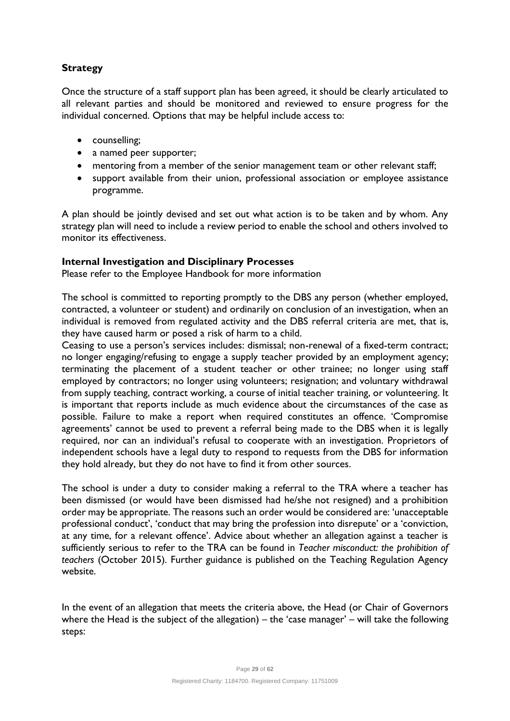# **Strategy**

Once the structure of a staff support plan has been agreed, it should be clearly articulated to all relevant parties and should be monitored and reviewed to ensure progress for the individual concerned. Options that may be helpful include access to:

- counselling;
- a named peer supporter;
- mentoring from a member of the senior management team or other relevant staff;
- support available from their union, professional association or employee assistance programme.

A plan should be jointly devised and set out what action is to be taken and by whom. Any strategy plan will need to include a review period to enable the school and others involved to monitor its effectiveness.

#### **Internal Investigation and Disciplinary Processes**

Please refer to the Employee Handbook for more information

The school is committed to reporting promptly to the DBS any person (whether employed, contracted, a volunteer or student) and ordinarily on conclusion of an investigation, when an individual is removed from regulated activity and the DBS referral criteria are met, that is, they have caused harm or posed a risk of harm to a child.

Ceasing to use a person's services includes: dismissal; non-renewal of a fixed-term contract; no longer engaging/refusing to engage a supply teacher provided by an employment agency; terminating the placement of a student teacher or other trainee; no longer using staff employed by contractors; no longer using volunteers; resignation; and voluntary withdrawal from supply teaching, contract working, a course of initial teacher training, or volunteering. It is important that reports include as much evidence about the circumstances of the case as possible. Failure to make a report when required constitutes an offence. 'Compromise agreements' cannot be used to prevent a referral being made to the DBS when it is legally required, nor can an individual's refusal to cooperate with an investigation. Proprietors of independent schools have a legal duty to respond to requests from the DBS for information they hold already, but they do not have to find it from other sources.

The school is under a duty to consider making a referral to the TRA where a teacher has been dismissed (or would have been dismissed had he/she not resigned) and a prohibition order may be appropriate. The reasons such an order would be considered are: 'unacceptable professional conduct', 'conduct that may bring the profession into disrepute' or a 'conviction, at any time, for a relevant offence'. Advice about whether an allegation against a teacher is sufficiently serious to refer to the TRA can be found in *Teacher misconduct: the prohibition of teachers* (October 2015). Further guidance is published on the Teaching Regulation Agency website.

In the event of an allegation that meets the criteria above, the Head (or Chair of Governors where the Head is the subject of the allegation) – the 'case manager' – will take the following steps: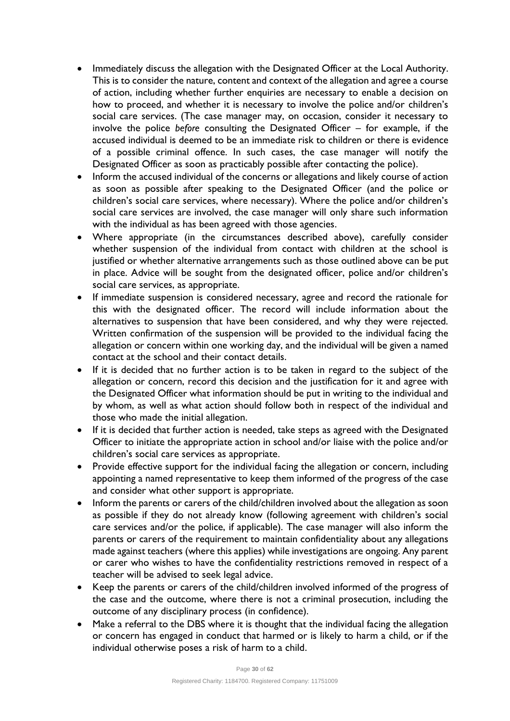- Immediately discuss the allegation with the Designated Officer at the Local Authority. This is to consider the nature, content and context of the allegation and agree a course of action, including whether further enquiries are necessary to enable a decision on how to proceed, and whether it is necessary to involve the police and/or children's social care services. (The case manager may, on occasion, consider it necessary to involve the police *before* consulting the Designated Officer – for example, if the accused individual is deemed to be an immediate risk to children or there is evidence of a possible criminal offence. In such cases, the case manager will notify the Designated Officer as soon as practicably possible after contacting the police).
- Inform the accused individual of the concerns or allegations and likely course of action as soon as possible after speaking to the Designated Officer (and the police or children's social care services, where necessary). Where the police and/or children's social care services are involved, the case manager will only share such information with the individual as has been agreed with those agencies.
- Where appropriate (in the circumstances described above), carefully consider whether suspension of the individual from contact with children at the school is justified or whether alternative arrangements such as those outlined above can be put in place. Advice will be sought from the designated officer, police and/or children's social care services, as appropriate.
- If immediate suspension is considered necessary, agree and record the rationale for this with the designated officer. The record will include information about the alternatives to suspension that have been considered, and why they were rejected. Written confirmation of the suspension will be provided to the individual facing the allegation or concern within one working day, and the individual will be given a named contact at the school and their contact details.
- If it is decided that no further action is to be taken in regard to the subject of the allegation or concern, record this decision and the justification for it and agree with the Designated Officer what information should be put in writing to the individual and by whom, as well as what action should follow both in respect of the individual and those who made the initial allegation.
- If it is decided that further action is needed, take steps as agreed with the Designated Officer to initiate the appropriate action in school and/or liaise with the police and/or children's social care services as appropriate.
- Provide effective support for the individual facing the allegation or concern, including appointing a named representative to keep them informed of the progress of the case and consider what other support is appropriate.
- Inform the parents or carers of the child/children involved about the allegation as soon as possible if they do not already know (following agreement with children's social care services and/or the police, if applicable). The case manager will also inform the parents or carers of the requirement to maintain confidentiality about any allegations made against teachers (where this applies) while investigations are ongoing. Any parent or carer who wishes to have the confidentiality restrictions removed in respect of a teacher will be advised to seek legal advice.
- Keep the parents or carers of the child/children involved informed of the progress of the case and the outcome, where there is not a criminal prosecution, including the outcome of any disciplinary process (in confidence).
- Make a referral to the DBS where it is thought that the individual facing the allegation or concern has engaged in conduct that harmed or is likely to harm a child, or if the individual otherwise poses a risk of harm to a child.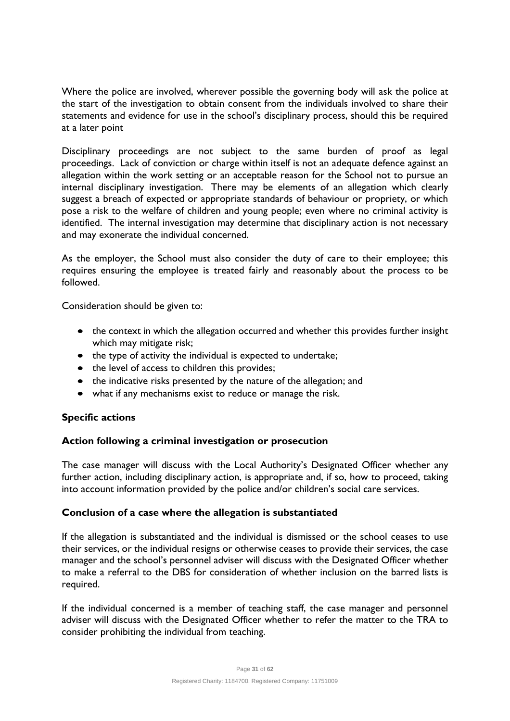Where the police are involved, wherever possible the governing body will ask the police at the start of the investigation to obtain consent from the individuals involved to share their statements and evidence for use in the school's disciplinary process, should this be required at a later point

Disciplinary proceedings are not subject to the same burden of proof as legal proceedings. Lack of conviction or charge within itself is not an adequate defence against an allegation within the work setting or an acceptable reason for the School not to pursue an internal disciplinary investigation. There may be elements of an allegation which clearly suggest a breach of expected or appropriate standards of behaviour or propriety, or which pose a risk to the welfare of children and young people; even where no criminal activity is identified. The internal investigation may determine that disciplinary action is not necessary and may exonerate the individual concerned.

As the employer, the School must also consider the duty of care to their employee; this requires ensuring the employee is treated fairly and reasonably about the process to be followed.

Consideration should be given to:

- the context in which the allegation occurred and whether this provides further insight which may mitigate risk;
- the type of activity the individual is expected to undertake;
- the level of access to children this provides;
- the indicative risks presented by the nature of the allegation; and
- what if any mechanisms exist to reduce or manage the risk.

# **Specific actions**

# **Action following a criminal investigation or prosecution**

The case manager will discuss with the Local Authority's Designated Officer whether any further action, including disciplinary action, is appropriate and, if so, how to proceed, taking into account information provided by the police and/or children's social care services.

#### **Conclusion of a case where the allegation is substantiated**

If the allegation is substantiated and the individual is dismissed or the school ceases to use their services, or the individual resigns or otherwise ceases to provide their services, the case manager and the school's personnel adviser will discuss with the Designated Officer whether to make a referral to the DBS for consideration of whether inclusion on the barred lists is required.

If the individual concerned is a member of teaching staff, the case manager and personnel adviser will discuss with the Designated Officer whether to refer the matter to the TRA to consider prohibiting the individual from teaching.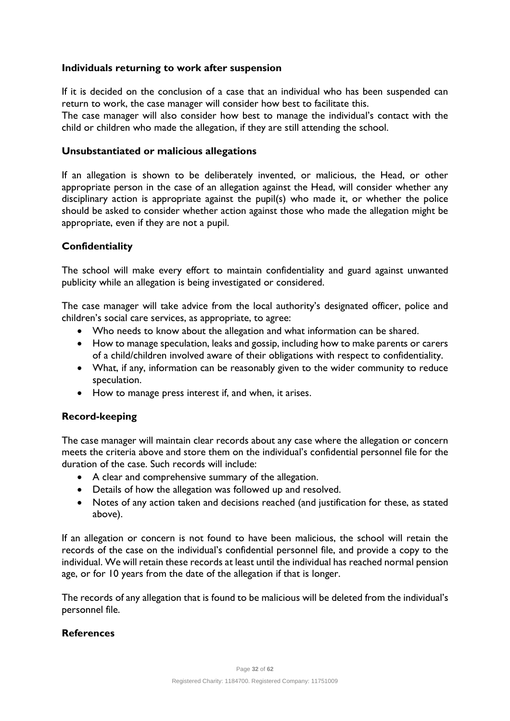#### **Individuals returning to work after suspension**

If it is decided on the conclusion of a case that an individual who has been suspended can return to work, the case manager will consider how best to facilitate this.

The case manager will also consider how best to manage the individual's contact with the child or children who made the allegation, if they are still attending the school.

#### **Unsubstantiated or malicious allegations**

If an allegation is shown to be deliberately invented, or malicious, the Head, or other appropriate person in the case of an allegation against the Head, will consider whether any disciplinary action is appropriate against the pupil(s) who made it, or whether the police should be asked to consider whether action against those who made the allegation might be appropriate, even if they are not a pupil.

#### **Confidentiality**

The school will make every effort to maintain confidentiality and guard against unwanted publicity while an allegation is being investigated or considered.

The case manager will take advice from the local authority's designated officer, police and children's social care services, as appropriate, to agree:

- Who needs to know about the allegation and what information can be shared.
- How to manage speculation, leaks and gossip, including how to make parents or carers of a child/children involved aware of their obligations with respect to confidentiality.
- What, if any, information can be reasonably given to the wider community to reduce speculation.
- How to manage press interest if, and when, it arises.

# **Record-keeping**

The case manager will maintain clear records about any case where the allegation or concern meets the criteria above and store them on the individual's confidential personnel file for the duration of the case. Such records will include:

- A clear and comprehensive summary of the allegation.
- Details of how the allegation was followed up and resolved.
- Notes of any action taken and decisions reached (and justification for these, as stated above).

If an allegation or concern is not found to have been malicious, the school will retain the records of the case on the individual's confidential personnel file, and provide a copy to the individual. We will retain these records at least until the individual has reached normal pension age, or for 10 years from the date of the allegation if that is longer.

The records of any allegation that is found to be malicious will be deleted from the individual's personnel file.

#### **References**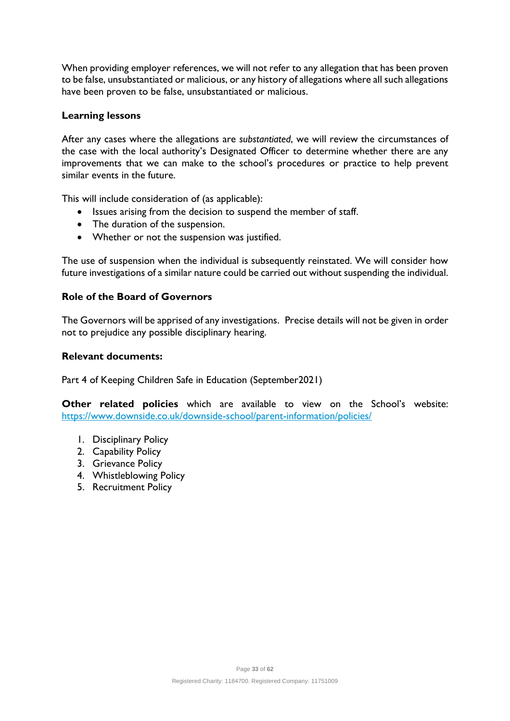When providing employer references, we will not refer to any allegation that has been proven to be false, unsubstantiated or malicious, or any history of allegations where all such allegations have been proven to be false, unsubstantiated or malicious.

#### **Learning lessons**

After any cases where the allegations are *substantiated*, we will review the circumstances of the case with the local authority's Designated Officer to determine whether there are any improvements that we can make to the school's procedures or practice to help prevent similar events in the future.

This will include consideration of (as applicable):

- Issues arising from the decision to suspend the member of staff.
- The duration of the suspension.
- Whether or not the suspension was justified.

The use of suspension when the individual is subsequently reinstated. We will consider how future investigations of a similar nature could be carried out without suspending the individual.

#### **Role of the Board of Governors**

The Governors will be apprised of any investigations. Precise details will not be given in order not to prejudice any possible disciplinary hearing.

#### **Relevant documents:**

Part 4 of Keeping Children Safe in Education (September2021)

**Other related policies** which are available to view on the School's website: <https://www.downside.co.uk/downside-school/parent-information/policies/>

- 1. Disciplinary Policy
- 2. Capability Policy
- 3. Grievance Policy
- 4. Whistleblowing Policy
- 5. Recruitment Policy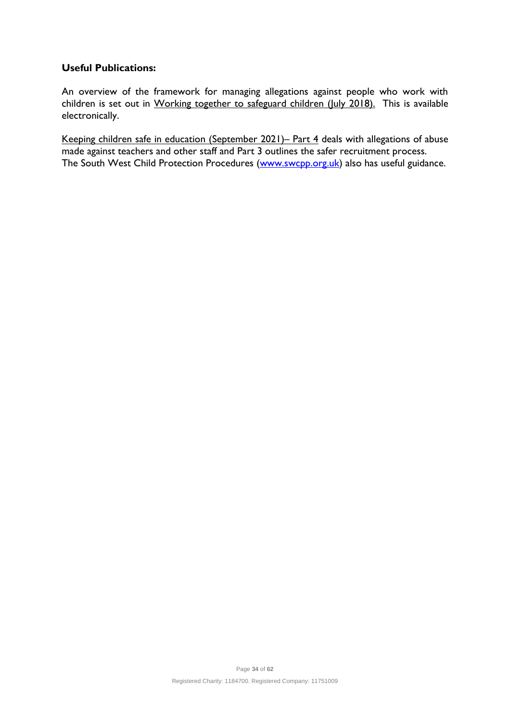## **Useful Publications:**

An overview of the framework for managing allegations against people who work with children is set out in Working together to safeguard children (July 2018). This is available electronically.

Keeping children safe in education (September 2021)– Part 4 deals with allegations of abuse made against teachers and other staff and Part 3 outlines the safer recruitment process. The South West Child Protection Procedures [\(www.swcpp.org.uk\)](http://www.swcpp.org.uk/) also has useful guidance.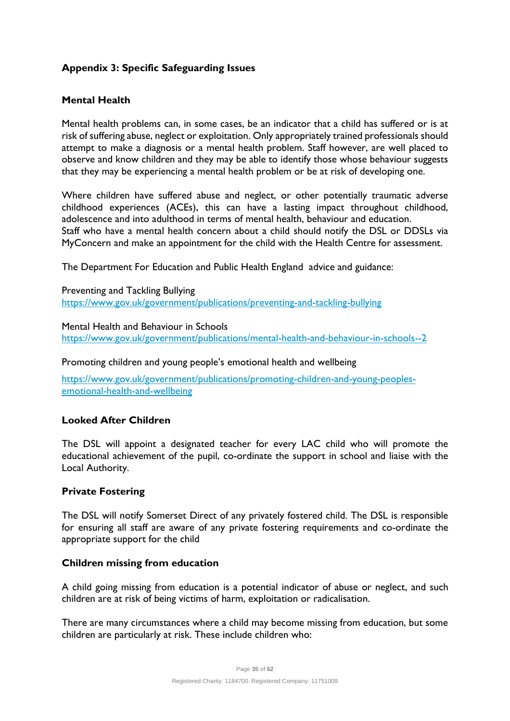# **Appendix 3: Specific Safeguarding Issues**

#### **Mental Health**

Mental health problems can, in some cases, be an indicator that a child has suffered or is at risk of suffering abuse, neglect or exploitation. Only appropriately trained professionals should attempt to make a diagnosis or a mental health problem. Staff however, are well placed to observe and know children and they may be able to identify those whose behaviour suggests that they may be experiencing a mental health problem or be at risk of developing one.

Where children have suffered abuse and neglect, or other potentially traumatic adverse childhood experiences (ACEs), this can have a lasting impact throughout childhood, adolescence and into adulthood in terms of mental health, behaviour and education. Staff who have a mental health concern about a child should notify the DSL or DDSLs via MyConcern and make an appointment for the child with the Health Centre for assessment.

The Department For Education and Public Health England advice and guidance:

Preventing and Tackling Bullying <https://www.gov.uk/government/publications/preventing-and-tackling-bullying>

Mental Health and Behaviour in Schools

<https://www.gov.uk/government/publications/mental-health-and-behaviour-in-schools--2>

Promoting children and young people's emotional health and wellbeing

[https://www.gov.uk/government/publications/promoting-children-and-young-peoples](https://www.gov.uk/government/publications/promoting-children-and-young-peoples-emotional-health-and-wellbeing)[emotional-health-and-wellbeing](https://www.gov.uk/government/publications/promoting-children-and-young-peoples-emotional-health-and-wellbeing)

#### **Looked After Children**

The DSL will appoint a designated teacher for every LAC child who will promote the educational achievement of the pupil, co-ordinate the support in school and liaise with the Local Authority.

#### **Private Fostering**

The DSL will notify Somerset Direct of any privately fostered child. The DSL is responsible for ensuring all staff are aware of any private fostering requirements and co-ordinate the appropriate support for the child

#### **Children missing from education**

A child going missing from education is a potential indicator of abuse or neglect, and such children are at risk of being victims of harm, exploitation or radicalisation.

There are many circumstances where a child may become missing from education, but some children are particularly at risk. These include children who: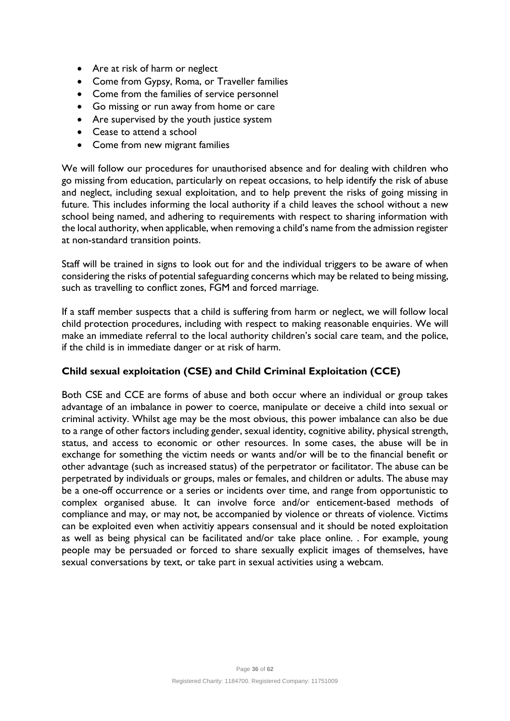- Are at risk of harm or neglect
- Come from Gypsy, Roma, or Traveller families
- Come from the families of service personnel
- Go missing or run away from home or care
- Are supervised by the youth justice system
- Cease to attend a school
- Come from new migrant families

We will follow our procedures for unauthorised absence and for dealing with children who go missing from education, particularly on repeat occasions, to help identify the risk of abuse and neglect, including sexual exploitation, and to help prevent the risks of going missing in future. This includes informing the local authority if a child leaves the school without a new school being named, and adhering to requirements with respect to sharing information with the local authority, when applicable, when removing a child's name from the admission register at non-standard transition points.

Staff will be trained in signs to look out for and the individual triggers to be aware of when considering the risks of potential safeguarding concerns which may be related to being missing, such as travelling to conflict zones, FGM and forced marriage.

If a staff member suspects that a child is suffering from harm or neglect, we will follow local child protection procedures, including with respect to making reasonable enquiries. We will make an immediate referral to the local authority children's social care team, and the police, if the child is in immediate danger or at risk of harm.

# **Child sexual exploitation (CSE) and Child Criminal Exploitation (CCE)**

Both CSE and CCE are forms of abuse and both occur where an individual or group takes advantage of an imbalance in power to coerce, manipulate or deceive a child into sexual or criminal activity. Whilst age may be the most obvious, this power imbalance can also be due to a range of other factors including gender, sexual identity, cognitive ability, physical strength, status, and access to economic or other resources. In some cases, the abuse will be in exchange for something the victim needs or wants and/or will be to the financial benefit or other advantage (such as increased status) of the perpetrator or facilitator. The abuse can be perpetrated by individuals or groups, males or females, and children or adults. The abuse may be a one-off occurrence or a series or incidents over time, and range from opportunistic to complex organised abuse. It can involve force and/or enticement-based methods of compliance and may, or may not, be accompanied by violence or threats of violence. Victims can be exploited even when activitiy appears consensual and it should be noted exploitation as well as being physical can be facilitated and/or take place online. . For example, young people may be persuaded or forced to share sexually explicit images of themselves, have sexual conversations by text, or take part in sexual activities using a webcam.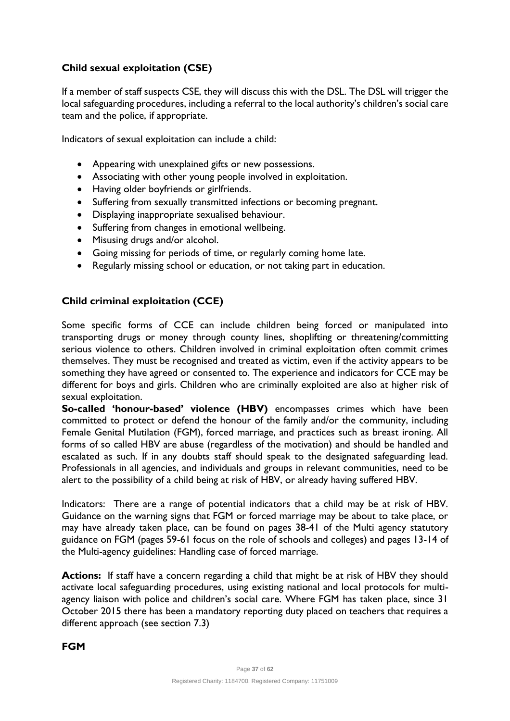# **Child sexual exploitation (CSE)**

If a member of staff suspects CSE, they will discuss this with the DSL. The DSL will trigger the local safeguarding procedures, including a referral to the local authority's children's social care team and the police, if appropriate.

Indicators of sexual exploitation can include a child:

- Appearing with unexplained gifts or new possessions.
- Associating with other young people involved in exploitation.
- Having older boyfriends or girlfriends.
- Suffering from sexually transmitted infections or becoming pregnant.
- Displaying inappropriate sexualised behaviour.
- Suffering from changes in emotional wellbeing.
- Misusing drugs and/or alcohol.
- Going missing for periods of time, or regularly coming home late.
- Regularly missing school or education, or not taking part in education.

# **Child criminal exploitation (CCE)**

Some specific forms of CCE can include children being forced or manipulated into transporting drugs or money through county lines, shoplifting or threatening/committing serious violence to others. Children involved in criminal exploitation often commit crimes themselves. They must be recognised and treated as victim, even if the activity appears to be something they have agreed or consented to. The experience and indicators for CCE may be different for boys and girls. Children who are criminally exploited are also at higher risk of sexual exploitation.

**So-called 'honour-based' violence (HBV)** encompasses crimes which have been committed to protect or defend the honour of the family and/or the community, including Female Genital Mutilation (FGM), forced marriage, and practices such as breast ironing. All forms of so called HBV are abuse (regardless of the motivation) and should be handled and escalated as such. If in any doubts staff should speak to the designated safeguarding lead. Professionals in all agencies, and individuals and groups in relevant communities, need to be alert to the possibility of a child being at risk of HBV, or already having suffered HBV.

Indicators: There are a range of potential indicators that a child may be at risk of HBV. Guidance on the warning signs that FGM or forced marriage may be about to take place, or may have already taken place, can be found on pages 38-41 of the Multi agency statutory guidance on FGM (pages 59-61 focus on the role of schools and colleges) and pages 13-14 of the Multi-agency guidelines: Handling case of forced marriage.

**Actions:** If staff have a concern regarding a child that might be at risk of HBV they should activate local safeguarding procedures, using existing national and local protocols for multiagency liaison with police and children's social care. Where FGM has taken place, since 31 October 2015 there has been a mandatory reporting duty placed on teachers that requires a different approach (see section 7.3)

# **FGM**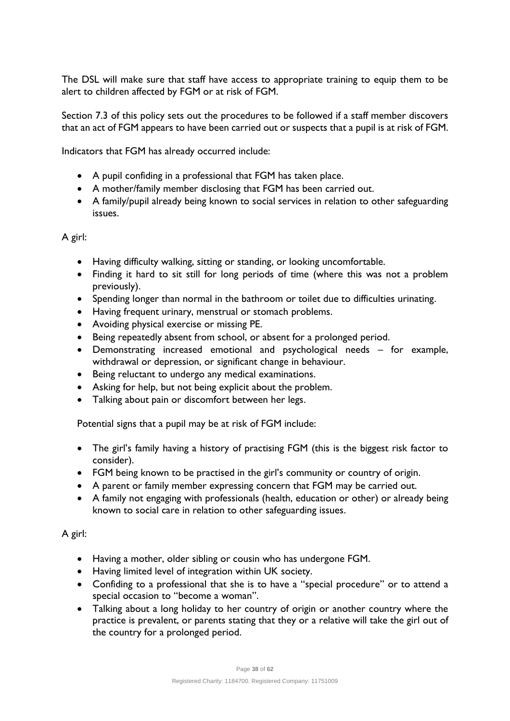The DSL will make sure that staff have access to appropriate training to equip them to be alert to children affected by FGM or at risk of FGM.

Section 7.3 of this policy sets out the procedures to be followed if a staff member discovers that an act of FGM appears to have been carried out or suspects that a pupil is at risk of FGM.

Indicators that FGM has already occurred include:

- A pupil confiding in a professional that FGM has taken place.
- A mother/family member disclosing that FGM has been carried out.
- A family/pupil already being known to social services in relation to other safeguarding issues.

A girl:

- Having difficulty walking, sitting or standing, or looking uncomfortable.
- Finding it hard to sit still for long periods of time (where this was not a problem previously).
- Spending longer than normal in the bathroom or toilet due to difficulties urinating.
- Having frequent urinary, menstrual or stomach problems.
- Avoiding physical exercise or missing PE.
- Being repeatedly absent from school, or absent for a prolonged period.
- Demonstrating increased emotional and psychological needs for example, withdrawal or depression, or significant change in behaviour.
- Being reluctant to undergo any medical examinations.
- Asking for help, but not being explicit about the problem.
- Talking about pain or discomfort between her legs.

Potential signs that a pupil may be at risk of FGM include:

- The girl's family having a history of practising FGM (this is the biggest risk factor to consider).
- FGM being known to be practised in the girl's community or country of origin.
- A parent or family member expressing concern that FGM may be carried out.
- A family not engaging with professionals (health, education or other) or already being known to social care in relation to other safeguarding issues.

A girl:

- Having a mother, older sibling or cousin who has undergone FGM.
- Having limited level of integration within UK society.
- Confiding to a professional that she is to have a "special procedure" or to attend a special occasion to "become a woman".
- Talking about a long holiday to her country of origin or another country where the practice is prevalent, or parents stating that they or a relative will take the girl out of the country for a prolonged period.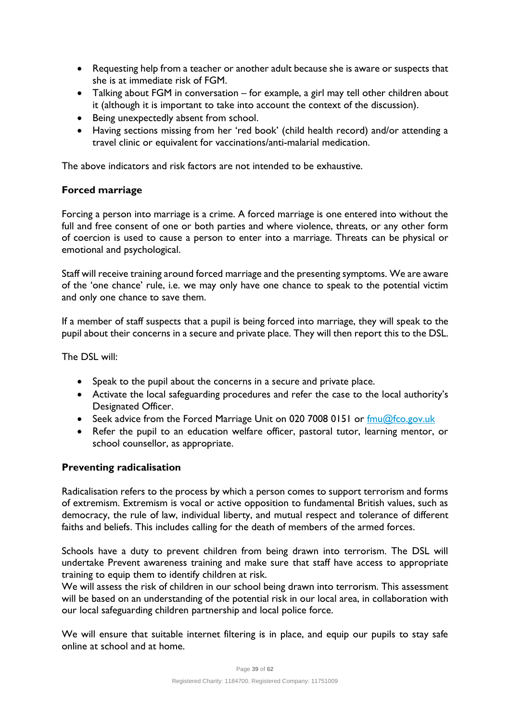- Requesting help from a teacher or another adult because she is aware or suspects that she is at immediate risk of FGM.
- Talking about FGM in conversation for example, a girl may tell other children about it (although it is important to take into account the context of the discussion).
- Being unexpectedly absent from school.
- Having sections missing from her 'red book' (child health record) and/or attending a travel clinic or equivalent for vaccinations/anti-malarial medication.

The above indicators and risk factors are not intended to be exhaustive.

# **Forced marriage**

Forcing a person into marriage is a crime. A forced marriage is one entered into without the full and free consent of one or both parties and where violence, threats, or any other form of coercion is used to cause a person to enter into a marriage. Threats can be physical or emotional and psychological.

Staff will receive training around forced marriage and the presenting symptoms. We are aware of the 'one chance' rule, i.e. we may only have one chance to speak to the potential victim and only one chance to save them.

If a member of staff suspects that a pupil is being forced into marriage, they will speak to the pupil about their concerns in a secure and private place. They will then report this to the DSL.

The DSL will:

- Speak to the pupil about the concerns in a secure and private place.
- Activate the local safeguarding procedures and refer the case to the local authority's Designated Officer.
- Seek advice from the Forced Marriage Unit on 020 7008 0151 or  $\frac{fmu@fco.gov.uk}{fmu@fco.gov.uk}$
- Refer the pupil to an education welfare officer, pastoral tutor, learning mentor, or school counsellor, as appropriate.

# **Preventing radicalisation**

Radicalisation refers to the process by which a person comes to support terrorism and forms of extremism. Extremism is vocal or active opposition to fundamental British values, such as democracy, the rule of law, individual liberty, and mutual respect and tolerance of different faiths and beliefs. This includes calling for the death of members of the armed forces.

Schools have a duty to prevent children from being drawn into terrorism. The DSL will undertake Prevent awareness training and make sure that staff have access to appropriate training to equip them to identify children at risk.

We will assess the risk of children in our school being drawn into terrorism. This assessment will be based on an understanding of the potential risk in our local area, in collaboration with our local safeguarding children partnership and local police force.

We will ensure that suitable internet filtering is in place, and equip our pupils to stay safe online at school and at home.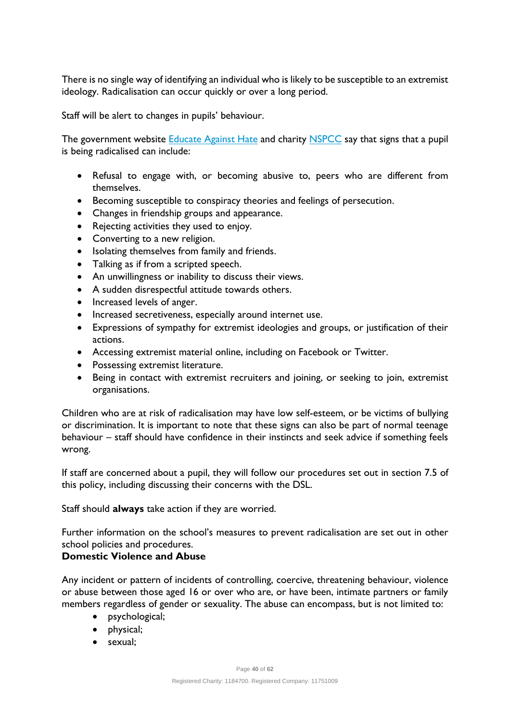There is no single way of identifying an individual who is likely to be susceptible to an extremist ideology. Radicalisation can occur quickly or over a long period.

Staff will be alert to changes in pupils' behaviour.

The government website [Educate Against](http://educateagainsthate.com/parents/what-are-the-warning-signs/) Hate and charity [NSPCC](https://www.nspcc.org.uk/what-you-can-do/report-abuse/dedicated-helplines/protecting-children-from-radicalisation/) say that signs that a pupil is being radicalised can include:

- Refusal to engage with, or becoming abusive to, peers who are different from themselves.
- Becoming susceptible to conspiracy theories and feelings of persecution.
- Changes in friendship groups and appearance.
- Rejecting activities they used to enjoy.
- Converting to a new religion.
- Isolating themselves from family and friends.
- Talking as if from a scripted speech.
- An unwillingness or inability to discuss their views.
- A sudden disrespectful attitude towards others.
- Increased levels of anger.
- Increased secretiveness, especially around internet use.
- Expressions of sympathy for extremist ideologies and groups, or justification of their actions.
- Accessing extremist material online, including on Facebook or Twitter.
- Possessing extremist literature.
- Being in contact with extremist recruiters and joining, or seeking to join, extremist organisations.

Children who are at risk of radicalisation may have low self-esteem, or be victims of bullying or discrimination. It is important to note that these signs can also be part of normal teenage behaviour – staff should have confidence in their instincts and seek advice if something feels wrong.

If staff are concerned about a pupil, they will follow our procedures set out in section 7.5 of this policy, including discussing their concerns with the DSL.

Staff should **always** take action if they are worried.

Further information on the school's measures to prevent radicalisation are set out in other school policies and procedures.

#### **Domestic Violence and Abuse**

Any incident or pattern of incidents of controlling, coercive, threatening behaviour, violence or abuse between those aged 16 or over who are, or have been, intimate partners or family members regardless of gender or sexuality. The abuse can encompass, but is not limited to:

- psychological;
- physical;
- sexual;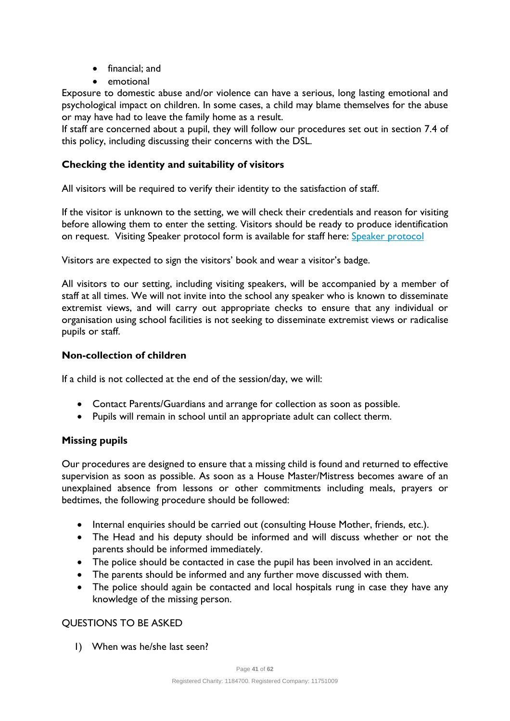- financial; and
- emotional

Exposure to domestic abuse and/or violence can have a serious, long lasting emotional and psychological impact on children. In some cases, a child may blame themselves for the abuse or may have had to leave the family home as a result.

If staff are concerned about a pupil, they will follow our procedures set out in section 7.4 of this policy, including discussing their concerns with the DSL.

# **Checking the identity and suitability of visitors**

All visitors will be required to verify their identity to the satisfaction of staff.

If the visitor is unknown to the setting, we will check their credentials and reason for visiting before allowing them to enter the setting. Visitors should be ready to produce identification on request. Visiting [Speaker protocol](https://teams.microsoft.com/l/file/3725947B-03BD-4790-B53D-F88C9605795B?tenantId=36eb3f7c-2762-460f-ac55-978d917b290c&fileType=docx&objectUrl=https%3A%2F%2Fdownsideschool.sharepoint.com%2Fsites%2FInformation%2FShared%20Documents%2FHuman%20Resources%2FSpeaker%20protocol%20-%20template.docx&baseUrl=https%3A%2F%2Fdownsideschool.sharepoint.com%2Fsites%2FInformation&serviceName=teams&threadId=19:920150b1c22b4382ad2637890633c7d7@thread.tacv2&groupId=656ca963-ab7e-42eb-b8df-10082ae29206) form is available for staff here: Speaker protocol

Visitors are expected to sign the visitors' book and wear a visitor's badge.

All visitors to our setting, including visiting speakers, will be accompanied by a member of staff at all times. We will not invite into the school any speaker who is known to disseminate extremist views, and will carry out appropriate checks to ensure that any individual or organisation using school facilities is not seeking to disseminate extremist views or radicalise pupils or staff.

#### **Non-collection of children**

If a child is not collected at the end of the session/day, we will:

- Contact Parents/Guardians and arrange for collection as soon as possible.
- Pupils will remain in school until an appropriate adult can collect therm.

# **Missing pupils**

Our procedures are designed to ensure that a missing child is found and returned to effective supervision as soon as possible. As soon as a House Master/Mistress becomes aware of an unexplained absence from lessons or other commitments including meals, prayers or bedtimes, the following procedure should be followed:

- Internal enquiries should be carried out (consulting House Mother, friends, etc.).
- The Head and his deputy should be informed and will discuss whether or not the parents should be informed immediately.
- The police should be contacted in case the pupil has been involved in an accident.
- The parents should be informed and any further move discussed with them.
- The police should again be contacted and local hospitals rung in case they have any knowledge of the missing person.

# QUESTIONS TO BE ASKED

1) When was he/she last seen?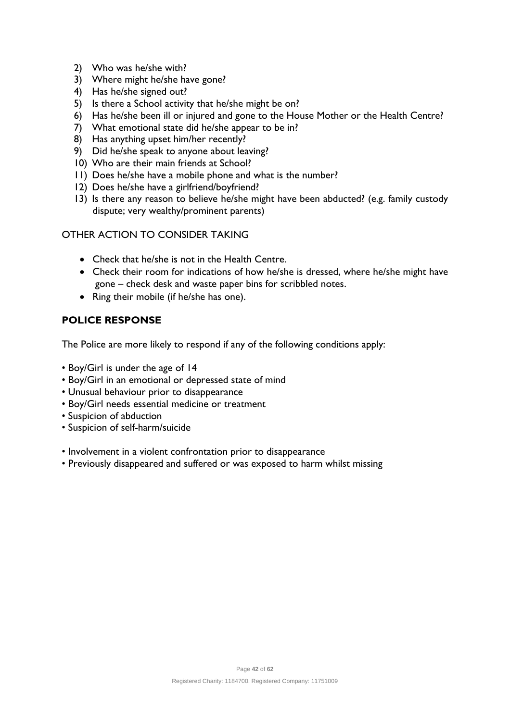- 2) Who was he/she with?
- 3) Where might he/she have gone?
- 4) Has he/she signed out?
- 5) Is there a School activity that he/she might be on?
- 6) Has he/she been ill or injured and gone to the House Mother or the Health Centre?
- 7) What emotional state did he/she appear to be in?
- 8) Has anything upset him/her recently?
- 9) Did he/she speak to anyone about leaving?
- 10) Who are their main friends at School?
- 11) Does he/she have a mobile phone and what is the number?
- 12) Does he/she have a girlfriend/boyfriend?
- 13) Is there any reason to believe he/she might have been abducted? (e.g. family custody dispute; very wealthy/prominent parents)

# OTHER ACTION TO CONSIDER TAKING

- Check that he/she is not in the Health Centre.
- Check their room for indications of how he/she is dressed, where he/she might have gone – check desk and waste paper bins for scribbled notes.
- Ring their mobile (if he/she has one).

# **POLICE RESPONSE**

The Police are more likely to respond if any of the following conditions apply:

- Boy/Girl is under the age of 14
- Boy/Girl in an emotional or depressed state of mind
- Unusual behaviour prior to disappearance
- Boy/Girl needs essential medicine or treatment
- Suspicion of abduction
- Suspicion of self-harm/suicide
- Involvement in a violent confrontation prior to disappearance
- Previously disappeared and suffered or was exposed to harm whilst missing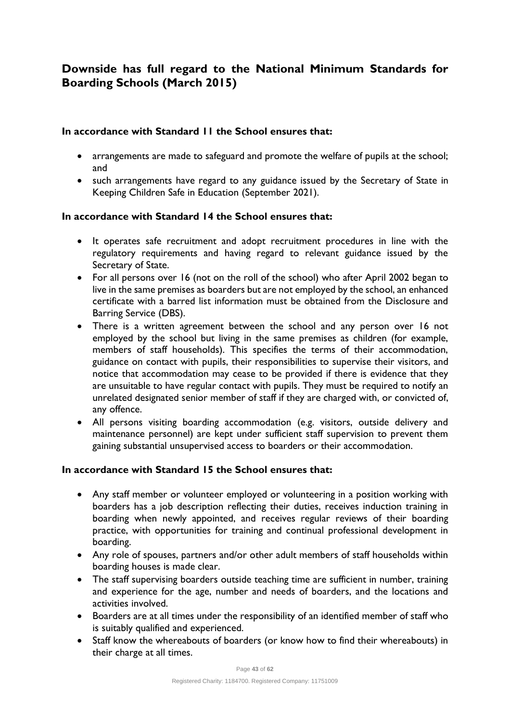# **Downside has full regard to the National Minimum Standards for Boarding Schools (March 2015)**

#### **In accordance with Standard 11 the School ensures that:**

- arrangements are made to safeguard and promote the welfare of pupils at the school; and
- such arrangements have regard to any guidance issued by the Secretary of State in Keeping Children Safe in Education (September 2021).

#### **In accordance with Standard 14 the School ensures that:**

- It operates safe recruitment and adopt recruitment procedures in line with the regulatory requirements and having regard to relevant guidance issued by the Secretary of State.
- For all persons over 16 (not on the roll of the school) who after April 2002 began to live in the same premises as boarders but are not employed by the school, an enhanced certificate with a barred list information must be obtained from the Disclosure and Barring Service (DBS).
- There is a written agreement between the school and any person over 16 not employed by the school but living in the same premises as children (for example, members of staff households). This specifies the terms of their accommodation, guidance on contact with pupils, their responsibilities to supervise their visitors, and notice that accommodation may cease to be provided if there is evidence that they are unsuitable to have regular contact with pupils. They must be required to notify an unrelated designated senior member of staff if they are charged with, or convicted of, any offence.
- All persons visiting boarding accommodation (e.g. visitors, outside delivery and maintenance personnel) are kept under sufficient staff supervision to prevent them gaining substantial unsupervised access to boarders or their accommodation.

#### **In accordance with Standard 15 the School ensures that:**

- Any staff member or volunteer employed or volunteering in a position working with boarders has a job description reflecting their duties, receives induction training in boarding when newly appointed, and receives regular reviews of their boarding practice, with opportunities for training and continual professional development in boarding.
- Any role of spouses, partners and/or other adult members of staff households within boarding houses is made clear.
- The staff supervising boarders outside teaching time are sufficient in number, training and experience for the age, number and needs of boarders, and the locations and activities involved.
- Boarders are at all times under the responsibility of an identified member of staff who is suitably qualified and experienced.
- Staff know the whereabouts of boarders (or know how to find their whereabouts) in their charge at all times.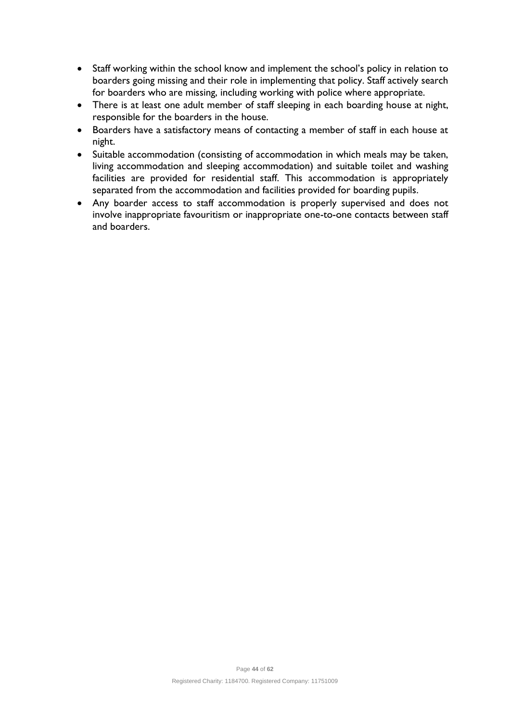- Staff working within the school know and implement the school's policy in relation to boarders going missing and their role in implementing that policy. Staff actively search for boarders who are missing, including working with police where appropriate.
- There is at least one adult member of staff sleeping in each boarding house at night, responsible for the boarders in the house.
- Boarders have a satisfactory means of contacting a member of staff in each house at night.
- Suitable accommodation (consisting of accommodation in which meals may be taken, living accommodation and sleeping accommodation) and suitable toilet and washing facilities are provided for residential staff. This accommodation is appropriately separated from the accommodation and facilities provided for boarding pupils.
- Any boarder access to staff accommodation is properly supervised and does not involve inappropriate favouritism or inappropriate one-to-one contacts between staff and boarders.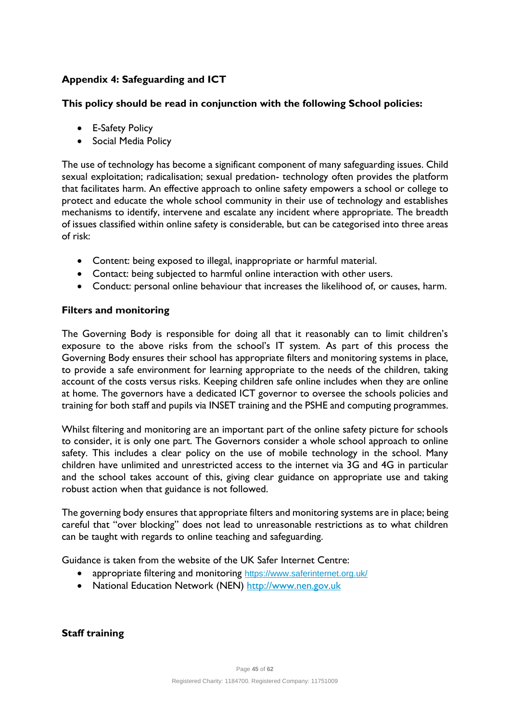# **Appendix 4: Safeguarding and ICT**

#### **This policy should be read in conjunction with the following School policies:**

- E-Safety Policy
- Social Media Policy

The use of technology has become a significant component of many safeguarding issues. Child sexual exploitation; radicalisation; sexual predation- technology often provides the platform that facilitates harm. An effective approach to online safety empowers a school or college to protect and educate the whole school community in their use of technology and establishes mechanisms to identify, intervene and escalate any incident where appropriate. The breadth of issues classified within online safety is considerable, but can be categorised into three areas of risk:

- Content: being exposed to illegal, inappropriate or harmful material.
- Contact: being subjected to harmful online interaction with other users.
- Conduct: personal online behaviour that increases the likelihood of, or causes, harm.

#### **Filters and monitoring**

The Governing Body is responsible for doing all that it reasonably can to limit children's exposure to the above risks from the school's IT system. As part of this process the Governing Body ensures their school has appropriate filters and monitoring systems in place, to provide a safe environment for learning appropriate to the needs of the children, taking account of the costs versus risks. Keeping children safe online includes when they are online at home. The governors have a dedicated ICT governor to oversee the schools policies and training for both staff and pupils via INSET training and the PSHE and computing programmes.

Whilst filtering and monitoring are an important part of the online safety picture for schools to consider, it is only one part. The Governors consider a whole school approach to online safety. This includes a clear policy on the use of mobile technology in the school. Many children have unlimited and unrestricted access to the internet via 3G and 4G in particular and the school takes account of this, giving clear guidance on appropriate use and taking robust action when that guidance is not followed.

The governing body ensures that appropriate filters and monitoring systems are in place; being careful that "over blocking" does not lead to unreasonable restrictions as to what children can be taught with regards to online teaching and safeguarding.

Guidance is taken from the website of the UK Safer Internet Centre:

- appropriate filtering and monitoring <https://www.saferinternet.org.uk/>
- National Education Network (NEN) [http://www.nen.gov.uk](http://www.nen.gov.uk/)

**Staff training**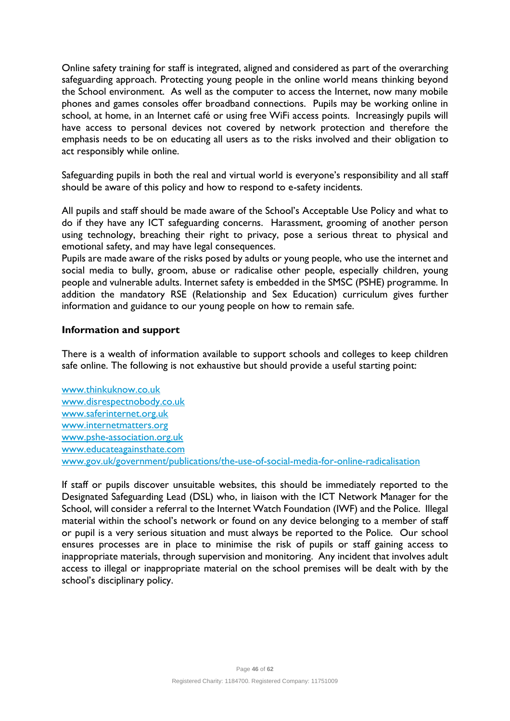Online safety training for staff is integrated, aligned and considered as part of the overarching safeguarding approach. Protecting young people in the online world means thinking beyond the School environment. As well as the computer to access the Internet, now many mobile phones and games consoles offer broadband connections. Pupils may be working online in school, at home, in an Internet café or using free WiFi access points. Increasingly pupils will have access to personal devices not covered by network protection and therefore the emphasis needs to be on educating all users as to the risks involved and their obligation to act responsibly while online.

Safeguarding pupils in both the real and virtual world is everyone's responsibility and all staff should be aware of this policy and how to respond to e-safety incidents.

All pupils and staff should be made aware of the School's Acceptable Use Policy and what to do if they have any ICT safeguarding concerns. Harassment, grooming of another person using technology, breaching their right to privacy, pose a serious threat to physical and emotional safety, and may have legal consequences.

Pupils are made aware of the risks posed by adults or young people, who use the internet and social media to bully, groom, abuse or radicalise other people, especially children, young people and vulnerable adults. Internet safety is embedded in the SMSC (PSHE) programme. In addition the mandatory RSE (Relationship and Sex Education) curriculum gives further information and guidance to our young people on how to remain safe.

#### **Information and support**

There is a wealth of information available to support schools and colleges to keep children safe online. The following is not exhaustive but should provide a useful starting point:

[www.thinkuknow.co.uk](http://www.thinkuknow.co.uk/)  [www.disrespectnobody.co.uk](http://www.disrespectnobody.co.uk/)  [www.saferinternet.org.uk](http://www.saferinternet.org.uk/)  [www.internetmatters.org](http://www.internetmatters.org/)  [www.pshe-association.org.uk](http://www.pshe-association.org.uk/) [www.educateagainsthate.com](http://www.educateagainsthate.com/) [www.gov.uk/government/publications/the-use-of-social-media-for-online-radicalisation](http://www.gov.uk/government/publications/the-use-of-social-media-for-online-radicalisation)

If staff or pupils discover unsuitable websites, this should be immediately reported to the Designated Safeguarding Lead (DSL) who, in liaison with the ICT Network Manager for the School, will consider a referral to the Internet Watch Foundation (IWF) and the Police. Illegal material within the school's network or found on any device belonging to a member of staff or pupil is a very serious situation and must always be reported to the Police. Our school ensures processes are in place to minimise the risk of pupils or staff gaining access to inappropriate materials, through supervision and monitoring. Any incident that involves adult access to illegal or inappropriate material on the school premises will be dealt with by the school's disciplinary policy.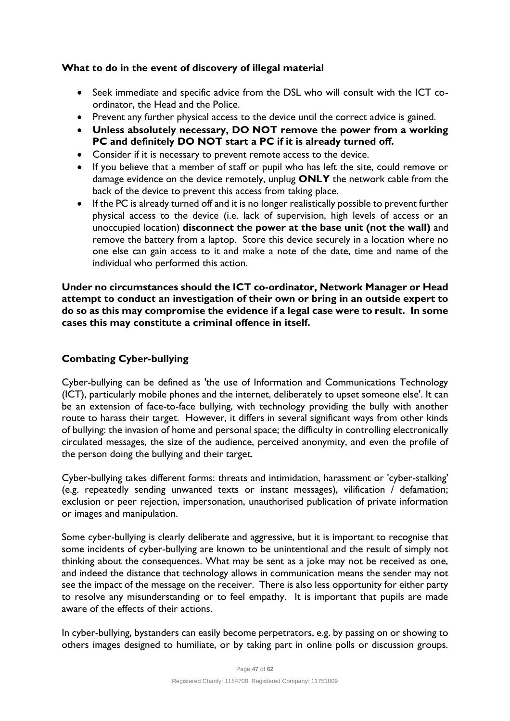# **What to do in the event of discovery of illegal material**

- Seek immediate and specific advice from the DSL who will consult with the ICT coordinator, the Head and the Police.
- Prevent any further physical access to the device until the correct advice is gained.
- **Unless absolutely necessary, DO NOT remove the power from a working PC and definitely DO NOT start a PC if it is already turned off.**
- Consider if it is necessary to prevent remote access to the device.
- If you believe that a member of staff or pupil who has left the site, could remove or damage evidence on the device remotely, unplug **ONLY** the network cable from the back of the device to prevent this access from taking place.
- If the PC is already turned off and it is no longer realistically possible to prevent further physical access to the device (i.e. lack of supervision, high levels of access or an unoccupied location) **disconnect the power at the base unit (not the wall)** and remove the battery from a laptop. Store this device securely in a location where no one else can gain access to it and make a note of the date, time and name of the individual who performed this action.

**Under no circumstances should the ICT co-ordinator, Network Manager or Head attempt to conduct an investigation of their own or bring in an outside expert to do so as this may compromise the evidence if a legal case were to result. In some cases this may constitute a criminal offence in itself.**

# **Combating Cyber-bullying**

Cyber-bullying can be defined as 'the use of Information and Communications Technology (ICT), particularly mobile phones and the internet, deliberately to upset someone else'. It can be an extension of face-to-face bullying, with technology providing the bully with another route to harass their target. However, it differs in several significant ways from other kinds of bullying: the invasion of home and personal space; the difficulty in controlling electronically circulated messages, the size of the audience, perceived anonymity, and even the profile of the person doing the bullying and their target.

Cyber-bullying takes different forms: threats and intimidation, harassment or 'cyber-stalking' (e.g. repeatedly sending unwanted texts or instant messages), vilification / defamation; exclusion or peer rejection, impersonation, unauthorised publication of private information or images and manipulation.

Some cyber-bullying is clearly deliberate and aggressive, but it is important to recognise that some incidents of cyber-bullying are known to be unintentional and the result of simply not thinking about the consequences. What may be sent as a joke may not be received as one, and indeed the distance that technology allows in communication means the sender may not see the impact of the message on the receiver. There is also less opportunity for either party to resolve any misunderstanding or to feel empathy. It is important that pupils are made aware of the effects of their actions.

In cyber-bullying, bystanders can easily become perpetrators, e.g. by passing on or showing to others images designed to humiliate, or by taking part in online polls or discussion groups.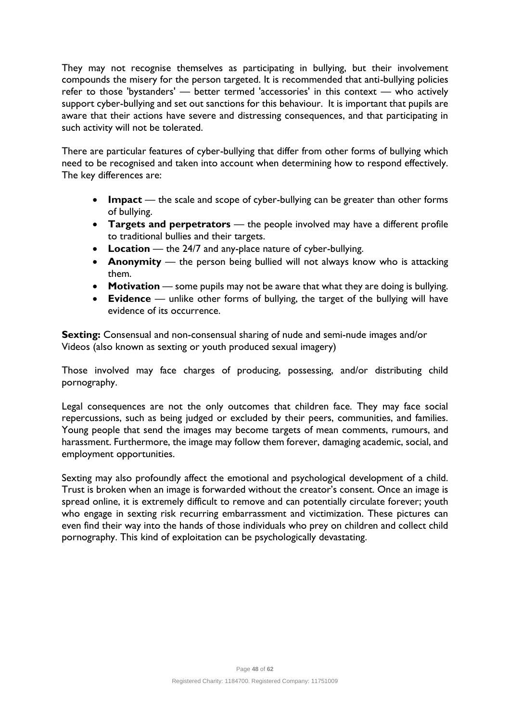They may not recognise themselves as participating in bullying, but their involvement compounds the misery for the person targeted. It is recommended that anti-bullying policies refer to those 'bystanders' — better termed 'accessories' in this context — who actively support cyber-bullying and set out sanctions for this behaviour. It is important that pupils are aware that their actions have severe and distressing consequences, and that participating in such activity will not be tolerated.

There are particular features of cyber-bullying that differ from other forms of bullying which need to be recognised and taken into account when determining how to respond effectively. The key differences are:

- **Impact** the scale and scope of cyber-bullying can be greater than other forms of bullying.
- **Targets and perpetrators** the people involved may have a different profile to traditional bullies and their targets.
- **Location** the 24/7 and any-place nature of cyber-bullying.
- **Anonymity** the person being bullied will not always know who is attacking them.
- **Motivation** some pupils may not be aware that what they are doing is bullying.
- **Evidence** unlike other forms of bullying, the target of the bullying will have evidence of its occurrence.

**Sexting:** Consensual and non-consensual sharing of nude and semi-nude images and/or Videos (also known as sexting or youth produced sexual imagery)

Those involved may face charges of producing, possessing, and/or distributing child pornography.

Legal consequences are not the only outcomes that children face. They may face social repercussions, such as being judged or excluded by their peers, communities, and families. Young people that send the images may become targets of mean comments, rumours, and harassment. Furthermore, the image may follow them forever, damaging academic, social, and employment opportunities.

Sexting may also profoundly affect the emotional and psychological development of a child. Trust is broken when an image is forwarded without the creator's consent. Once an image is spread online, it is extremely difficult to remove and can potentially circulate forever; youth who engage in sexting risk recurring embarrassment and victimization. These pictures can even find their way into the hands of those individuals who prey on children and collect child pornography. This kind of exploitation can be psychologically devastating.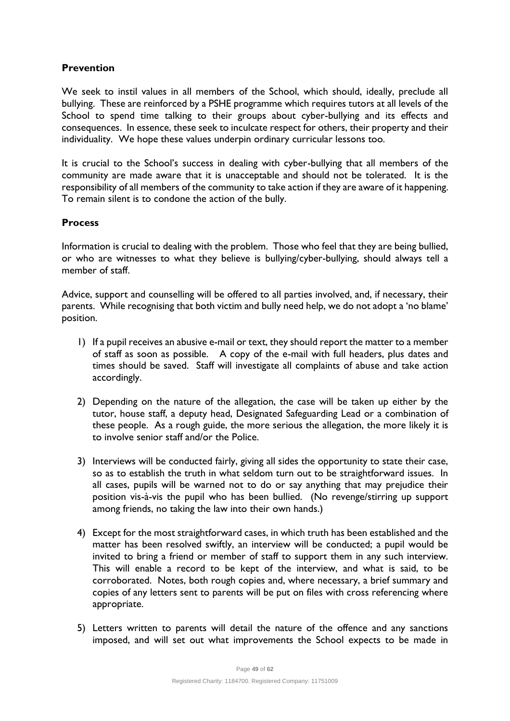# **Prevention**

We seek to instil values in all members of the School, which should, ideally, preclude all bullying. These are reinforced by a PSHE programme which requires tutors at all levels of the School to spend time talking to their groups about cyber-bullying and its effects and consequences. In essence, these seek to inculcate respect for others, their property and their individuality. We hope these values underpin ordinary curricular lessons too.

It is crucial to the School's success in dealing with cyber-bullying that all members of the community are made aware that it is unacceptable and should not be tolerated. It is the responsibility of all members of the community to take action if they are aware of it happening. To remain silent is to condone the action of the bully.

# **Process**

Information is crucial to dealing with the problem. Those who feel that they are being bullied, or who are witnesses to what they believe is bullying/cyber-bullying, should always tell a member of staff

Advice, support and counselling will be offered to all parties involved, and, if necessary, their parents. While recognising that both victim and bully need help, we do not adopt a 'no blame' position.

- 1) If a pupil receives an abusive e-mail or text, they should report the matter to a member of staff as soon as possible. A copy of the e-mail with full headers, plus dates and times should be saved. Staff will investigate all complaints of abuse and take action accordingly.
- 2) Depending on the nature of the allegation, the case will be taken up either by the tutor, house staff, a deputy head, Designated Safeguarding Lead or a combination of these people. As a rough guide, the more serious the allegation, the more likely it is to involve senior staff and/or the Police.
- 3) Interviews will be conducted fairly, giving all sides the opportunity to state their case, so as to establish the truth in what seldom turn out to be straightforward issues. In all cases, pupils will be warned not to do or say anything that may prejudice their position vis-à-vis the pupil who has been bullied. (No revenge/stirring up support among friends, no taking the law into their own hands.)
- 4) Except for the most straightforward cases, in which truth has been established and the matter has been resolved swiftly, an interview will be conducted; a pupil would be invited to bring a friend or member of staff to support them in any such interview. This will enable a record to be kept of the interview, and what is said, to be corroborated. Notes, both rough copies and, where necessary, a brief summary and copies of any letters sent to parents will be put on files with cross referencing where appropriate.
- 5) Letters written to parents will detail the nature of the offence and any sanctions imposed, and will set out what improvements the School expects to be made in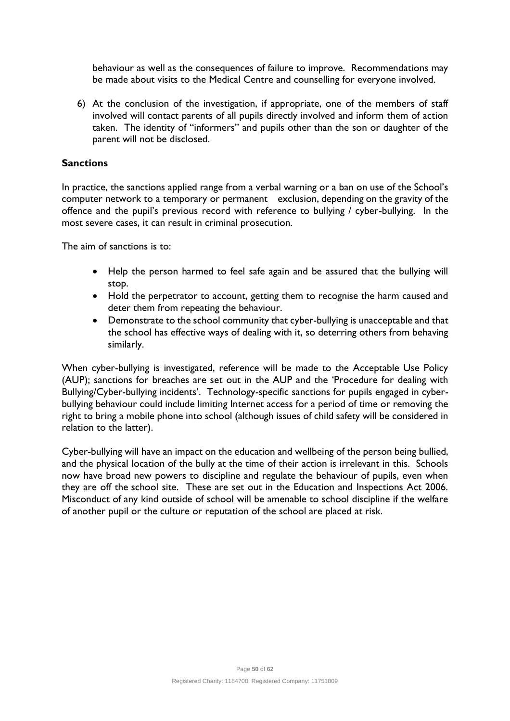behaviour as well as the consequences of failure to improve. Recommendations may be made about visits to the Medical Centre and counselling for everyone involved.

6) At the conclusion of the investigation, if appropriate, one of the members of staff involved will contact parents of all pupils directly involved and inform them of action taken. The identity of "informers" and pupils other than the son or daughter of the parent will not be disclosed.

#### **Sanctions**

In practice, the sanctions applied range from a verbal warning or a ban on use of the School's computer network to a temporary or permanent exclusion, depending on the gravity of the offence and the pupil's previous record with reference to bullying / cyber-bullying. In the most severe cases, it can result in criminal prosecution.

The aim of sanctions is to:

- Help the person harmed to feel safe again and be assured that the bullying will stop.
- Hold the perpetrator to account, getting them to recognise the harm caused and deter them from repeating the behaviour.
- Demonstrate to the school community that cyber-bullying is unacceptable and that the school has effective ways of dealing with it, so deterring others from behaving similarly.

When cyber-bullying is investigated, reference will be made to the Acceptable Use Policy (AUP); sanctions for breaches are set out in the AUP and the 'Procedure for dealing with Bullying/Cyber-bullying incidents'. Technology-specific sanctions for pupils engaged in cyberbullying behaviour could include limiting Internet access for a period of time or removing the right to bring a mobile phone into school (although issues of child safety will be considered in relation to the latter).

Cyber-bullying will have an impact on the education and wellbeing of the person being bullied, and the physical location of the bully at the time of their action is irrelevant in this. Schools now have broad new powers to discipline and regulate the behaviour of pupils, even when they are off the school site. These are set out in the Education and Inspections Act 2006. Misconduct of any kind outside of school will be amenable to school discipline if the welfare of another pupil or the culture or reputation of the school are placed at risk.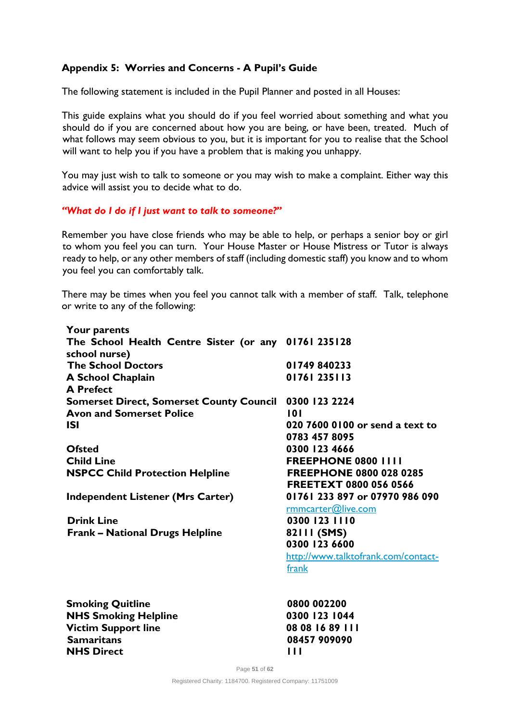# **Appendix 5: Worries and Concerns - A Pupil's Guide**

The following statement is included in the Pupil Planner and posted in all Houses:

This guide explains what you should do if you feel worried about something and what you should do if you are concerned about how you are being, or have been, treated. Much of what follows may seem obvious to you, but it is important for you to realise that the School will want to help you if you have a problem that is making you unhappy.

You may just wish to talk to someone or you may wish to make a complaint. Either way this advice will assist you to decide what to do.

#### *"What do I do if I just want to talk to someone?"*

Remember you have close friends who may be able to help, or perhaps a senior boy or girl to whom you feel you can turn. Your House Master or House Mistress or Tutor is always ready to help, or any other members of staff (including domestic staff) you know and to whom you feel you can comfortably talk.

There may be times when you feel you cannot talk with a member of staff. Talk, telephone or write to any of the following:

| <b>Your parents</b>                                  |                                     |
|------------------------------------------------------|-------------------------------------|
| The School Health Centre Sister (or any 01761 235128 |                                     |
| school nurse)                                        |                                     |
| <b>The School Doctors</b>                            | 01749840233                         |
| A School Chaplain                                    | 01761235113                         |
| <b>A</b> Prefect                                     |                                     |
| <b>Somerset Direct, Somerset County Council</b>      | 0300 123 2224                       |
| <b>Avon and Somerset Police</b>                      | 101                                 |
| <b>ISI</b>                                           | 020 7600 0100 or send a text to     |
|                                                      | 0783 457 8095                       |
| <b>Ofsted</b>                                        | 0300 123 4666                       |
| <b>Child Line</b>                                    | <b>FREEPHONE 0800 IIII</b>          |
| <b>NSPCC Child Protection Helpline</b>               | <b>FREEPHONE 0800 028 0285</b>      |
|                                                      | <b>FREETEXT 0800 056 0566</b>       |
| <b>Independent Listener (Mrs Carter)</b>             | 01761 233 897 or 07970 986 090      |
|                                                      | rmmcarter@live.com                  |
| <b>Drink Line</b>                                    | 0300 123 1110                       |
| <b>Frank - National Drugs Helpline</b>               | 82111 (SMS)                         |
|                                                      | 0300 123 6600                       |
|                                                      | http://www.talktofrank.com/contact- |
|                                                      | frank                               |
| <b>Smoking Quitline</b>                              | 0800 002200                         |
| <b>NHS Smoking Helpline</b>                          | 0300 123 1044                       |
| <b>Victim Support line</b>                           | 08 08 16 89 111                     |
| <b>Samaritans</b>                                    | 08457 909090                        |
| <b>NHS Direct</b>                                    | $\blacksquare$                      |

Page **51** of **62** Registered Charity: 1184700. Registered Company: 11751009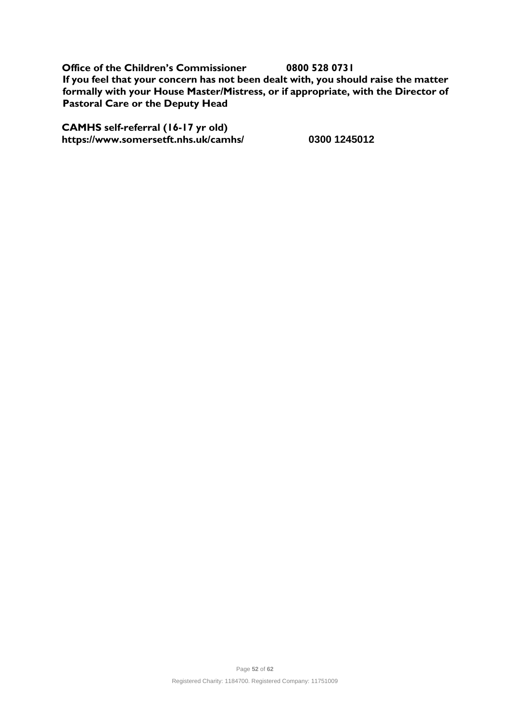**Office of the Children's Commissioner 0800 528 0731 If you feel that your concern has not been dealt with, you should raise the matter formally with your House Master/Mistress, or if appropriate, with the Director of Pastoral Care or the Deputy Head** 

**CAMHS self-referral (16-17 yr old) https://www.somersetft.nhs.uk/camhs/ 0300 1245012**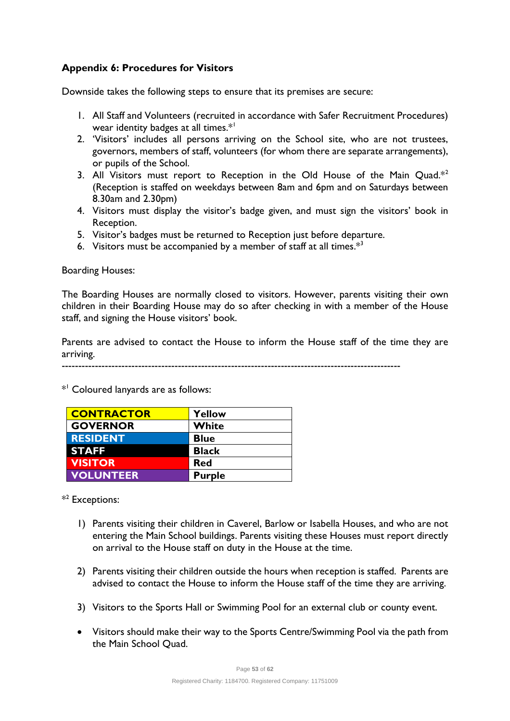# **Appendix 6: Procedures for Visitors**

Downside takes the following steps to ensure that its premises are secure:

- 1. All Staff and Volunteers (recruited in accordance with Safer Recruitment Procedures) wear identity badges at all times.\*<sup>1</sup>
- 2. 'Visitors' includes all persons arriving on the School site, who are not trustees, governors, members of staff, volunteers (for whom there are separate arrangements), or pupils of the School.
- 3. All Visitors must report to Reception in the Old House of the Main Quad. $*^2$ (Reception is staffed on weekdays between 8am and 6pm and on Saturdays between 8.30am and 2.30pm)
- 4. Visitors must display the visitor's badge given, and must sign the visitors' book in Reception.
- 5. Visitor's badges must be returned to Reception just before departure.
- 6. Visitors must be accompanied by a member of staff at all times. $*^3$

Boarding Houses:

The Boarding Houses are normally closed to visitors. However, parents visiting their own children in their Boarding House may do so after checking in with a member of the House staff, and signing the House visitors' book.

Parents are advised to contact the House to inform the House staff of the time they are arriving.

------------------------------------------------------------------------------------------------------

 $*$ <sup>1</sup> Coloured lanyards are as follows:

| <b>CONTRACTOR</b> | Yellow        |
|-------------------|---------------|
| <b>GOVERNOR</b>   | White         |
| <b>RESIDENT</b>   | <b>Blue</b>   |
| <b>STAFF</b>      | <b>Black</b>  |
| <b>VISITOR</b>    | <b>Red</b>    |
| <b>VOLUNTEER</b>  | <b>Purple</b> |

 $*^2$  Exceptions:

- 1) Parents visiting their children in Caverel, Barlow or Isabella Houses, and who are not entering the Main School buildings. Parents visiting these Houses must report directly on arrival to the House staff on duty in the House at the time.
- 2) Parents visiting their children outside the hours when reception is staffed. Parents are advised to contact the House to inform the House staff of the time they are arriving.
- 3) Visitors to the Sports Hall or Swimming Pool for an external club or county event.
- Visitors should make their way to the Sports Centre/Swimming Pool via the path from the Main School Quad.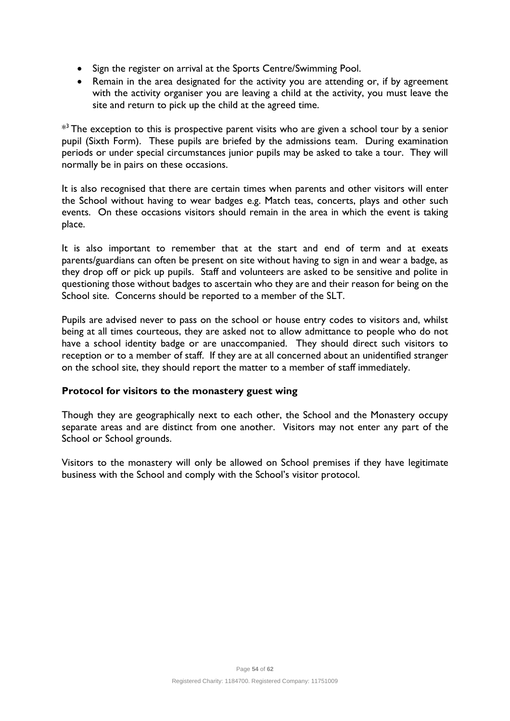- Sign the register on arrival at the Sports Centre/Swimming Pool.
- Remain in the area designated for the activity you are attending or, if by agreement with the activity organiser you are leaving a child at the activity, you must leave the site and return to pick up the child at the agreed time.

 $^{\ast3}$  The exception to this is prospective parent visits who are given a school tour by a senior pupil (Sixth Form). These pupils are briefed by the admissions team. During examination periods or under special circumstances junior pupils may be asked to take a tour. They will normally be in pairs on these occasions.

It is also recognised that there are certain times when parents and other visitors will enter the School without having to wear badges e.g. Match teas, concerts, plays and other such events. On these occasions visitors should remain in the area in which the event is taking place.

It is also important to remember that at the start and end of term and at exeats parents/guardians can often be present on site without having to sign in and wear a badge, as they drop off or pick up pupils. Staff and volunteers are asked to be sensitive and polite in questioning those without badges to ascertain who they are and their reason for being on the School site. Concerns should be reported to a member of the SLT.

Pupils are advised never to pass on the school or house entry codes to visitors and, whilst being at all times courteous, they are asked not to allow admittance to people who do not have a school identity badge or are unaccompanied. They should direct such visitors to reception or to a member of staff. If they are at all concerned about an unidentified stranger on the school site, they should report the matter to a member of staff immediately.

# **Protocol for visitors to the monastery guest wing**

Though they are geographically next to each other, the School and the Monastery occupy separate areas and are distinct from one another. Visitors may not enter any part of the School or School grounds.

Visitors to the monastery will only be allowed on School premises if they have legitimate business with the School and comply with the School's visitor protocol.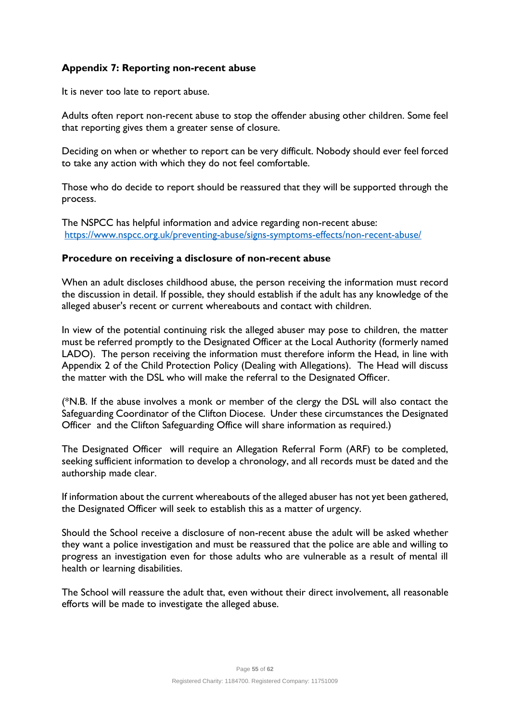# **Appendix 7: [Reporting non-recent abuse](https://www.nspcc.org.uk/preventing-abuse/signs-symptoms-effects/non-recent-abuse/)**

It is never too late to report abuse.

Adults often report non-recent abuse to stop the offender abusing other children. Some feel that reporting gives them a greater sense of closure.

Deciding on when or whether to report can be very difficult. Nobody should ever feel forced to take any action with which they do not feel comfortable.

Those who do decide to report should be reassured that they will be supported through the process.

The NSPCC has helpful information and advice regarding non-recent abuse: <https://www.nspcc.org.uk/preventing-abuse/signs-symptoms-effects/non-recent-abuse/>

#### **Procedure on receiving a disclosure of non-recent abuse**

When an adult discloses childhood abuse, the person receiving the information must record the discussion in detail. If possible, they should establish if the adult has any knowledge of the alleged abuser's recent or current whereabouts and contact with children.

In view of the potential continuing risk the alleged abuser may pose to children, the matter must be referred promptly to the Designated Officer at the Local Authority (formerly named LADO). The person receiving the information must therefore inform the Head, in line with Appendix 2 of the Child Protection Policy (Dealing with Allegations). The Head will discuss the matter with the DSL who will make the referral to the Designated Officer.

(\*N.B. If the abuse involves a monk or member of the clergy the DSL will also contact the Safeguarding Coordinator of the Clifton Diocese. Under these circumstances the Designated Officer and the Clifton Safeguarding Office will share information as required.)

The Designated Officer will require an Allegation Referral Form (ARF) to be completed, seeking sufficient information to develop a chronology, and all records must be dated and the authorship made clear.

If information about the current whereabouts of the alleged abuser has not yet been gathered, the Designated Officer will seek to establish this as a matter of urgency.

Should the School receive a disclosure of non-recent abuse the adult will be asked whether they want a police investigation and must be reassured that the police are able and willing to progress an investigation even for those adults who are vulnerable as a result of mental ill health or learning disabilities.

The School will reassure the adult that, even without their direct involvement, all reasonable efforts will be made to investigate the alleged abuse.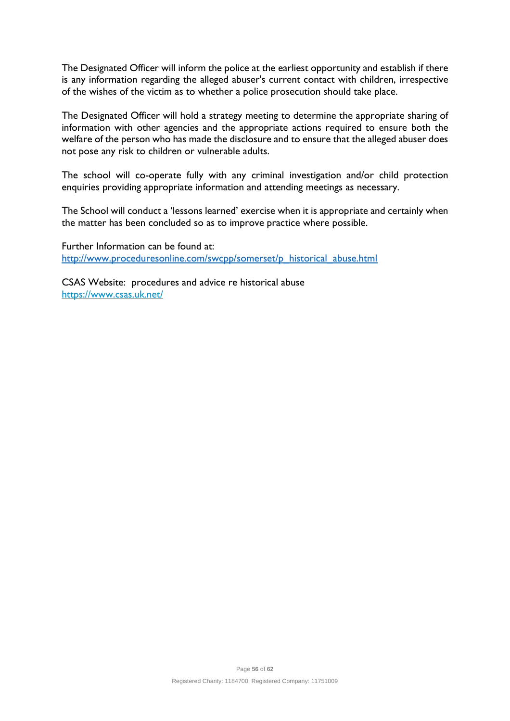The Designated Officer will inform the police at the earliest opportunity and establish if there is any information regarding the alleged abuser's current contact with children, irrespective of the wishes of the victim as to whether a police prosecution should take place.

The Designated Officer will hold a strategy meeting to determine the appropriate sharing of information with other agencies and the appropriate actions required to ensure both the welfare of the person who has made the disclosure and to ensure that the alleged abuser does not pose any risk to children or vulnerable adults.

The school will co-operate fully with any criminal investigation and/or child protection enquiries providing appropriate information and attending meetings as necessary.

The School will conduct a 'lessons learned' exercise when it is appropriate and certainly when the matter has been concluded so as to improve practice where possible.

Further Information can be found at: [http://www.proceduresonline.com/swcpp/somerset/p\\_historical\\_abuse.html](http://www.proceduresonline.com/swcpp/somerset/p_historical_abuse.html)

CSAS Website: procedures and advice re historical abuse <https://www.csas.uk.net/>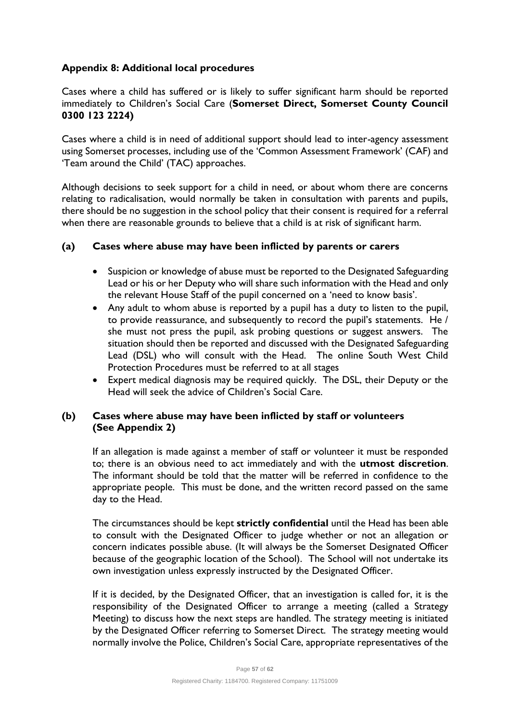# **Appendix 8: Additional local procedures**

Cases where a child has suffered or is likely to suffer significant harm should be reported immediately to Children's Social Care (**Somerset Direct, Somerset County Council 0300 123 2224)**

Cases where a child is in need of additional support should lead to inter-agency assessment using Somerset processes, including use of the 'Common Assessment Framework' (CAF) and 'Team around the Child' (TAC) approaches.

Although decisions to seek support for a child in need, or about whom there are concerns relating to radicalisation, would normally be taken in consultation with parents and pupils, there should be no suggestion in the school policy that their consent is required for a referral when there are reasonable grounds to believe that a child is at risk of significant harm.

# **(a) Cases where abuse may have been inflicted by parents or carers**

- Suspicion or knowledge of abuse must be reported to the Designated Safeguarding Lead or his or her Deputy who will share such information with the Head and only the relevant House Staff of the pupil concerned on a 'need to know basis'.
- Any adult to whom abuse is reported by a pupil has a duty to listen to the pupil, to provide reassurance, and subsequently to record the pupil's statements. He / she must not press the pupil, ask probing questions or suggest answers. The situation should then be reported and discussed with the Designated Safeguarding Lead (DSL) who will consult with the Head. The online South West Child Protection Procedures must be referred to at all stages
- Expert medical diagnosis may be required quickly. The DSL, their Deputy or the Head will seek the advice of Children's Social Care.

# **(b) Cases where abuse may have been inflicted by staff or volunteers (See Appendix 2)**

If an allegation is made against a member of staff or volunteer it must be responded to; there is an obvious need to act immediately and with the **utmost discretion**. The informant should be told that the matter will be referred in confidence to the appropriate people. This must be done, and the written record passed on the same day to the Head.

The circumstances should be kept **strictly confidential** until the Head has been able to consult with the Designated Officer to judge whether or not an allegation or concern indicates possible abuse. (It will always be the Somerset Designated Officer because of the geographic location of the School). The School will not undertake its own investigation unless expressly instructed by the Designated Officer.

If it is decided, by the Designated Officer, that an investigation is called for, it is the responsibility of the Designated Officer to arrange a meeting (called a Strategy Meeting) to discuss how the next steps are handled. The strategy meeting is initiated by the Designated Officer referring to Somerset Direct. The strategy meeting would normally involve the Police, Children's Social Care, appropriate representatives of the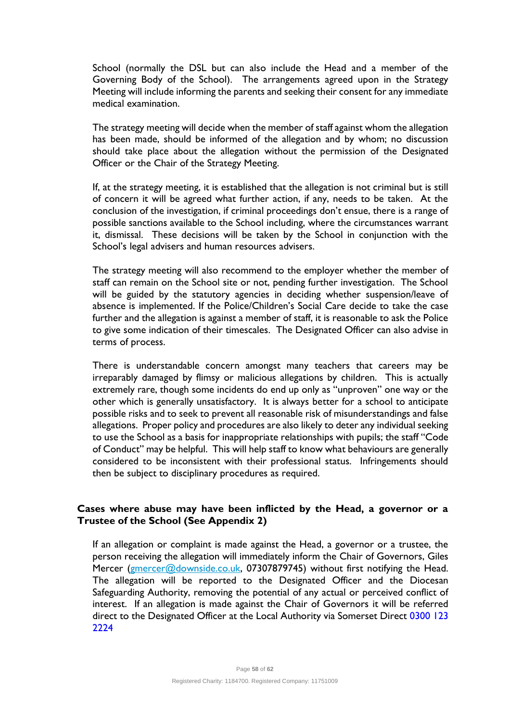School (normally the DSL but can also include the Head and a member of the Governing Body of the School). The arrangements agreed upon in the Strategy Meeting will include informing the parents and seeking their consent for any immediate medical examination.

The strategy meeting will decide when the member of staff against whom the allegation has been made, should be informed of the allegation and by whom; no discussion should take place about the allegation without the permission of the Designated Officer or the Chair of the Strategy Meeting.

If, at the strategy meeting, it is established that the allegation is not criminal but is still of concern it will be agreed what further action, if any, needs to be taken. At the conclusion of the investigation, if criminal proceedings don't ensue, there is a range of possible sanctions available to the School including, where the circumstances warrant it, dismissal. These decisions will be taken by the School in conjunction with the School's legal advisers and human resources advisers.

The strategy meeting will also recommend to the employer whether the member of staff can remain on the School site or not, pending further investigation. The School will be guided by the statutory agencies in deciding whether suspension/leave of absence is implemented. If the Police/Children's Social Care decide to take the case further and the allegation is against a member of staff, it is reasonable to ask the Police to give some indication of their timescales. The Designated Officer can also advise in terms of process.

There is understandable concern amongst many teachers that careers may be irreparably damaged by flimsy or malicious allegations by children. This is actually extremely rare, though some incidents do end up only as "unproven" one way or the other which is generally unsatisfactory. It is always better for a school to anticipate possible risks and to seek to prevent all reasonable risk of misunderstandings and false allegations. Proper policy and procedures are also likely to deter any individual seeking to use the School as a basis for inappropriate relationships with pupils; the staff "Code of Conduct" may be helpful. This will help staff to know what behaviours are generally considered to be inconsistent with their professional status. Infringements should then be subject to disciplinary procedures as required.

# **Cases where abuse may have been inflicted by the Head, a governor or a Trustee of the School (See Appendix 2)**

If an allegation or complaint is made against the Head, a governor or a trustee, the person receiving the allegation will immediately inform the Chair of Governors, Giles Mercer [\(gmercer@downside.co.uk,](mailto:gmercer@downside.co.uk) 07307879745) without first notifying the Head. The allegation will be reported to the Designated Officer and the Diocesan Safeguarding Authority, removing the potential of any actual or perceived conflict of interest. If an allegation is made against the Chair of Governors it will be referred direct to the Designated Officer at the Local Authority via Somerset Direct 0300 123 2224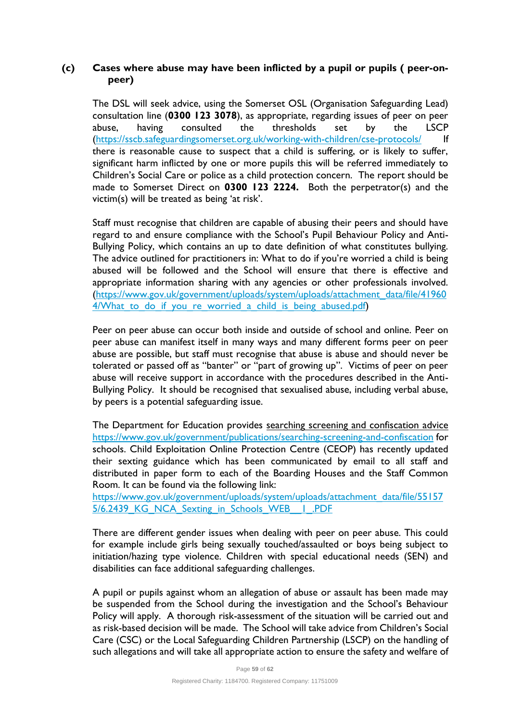#### **(c) Cases where abuse may have been inflicted by a pupil or pupils ( peer-onpeer)**

The DSL will seek advice, using the Somerset OSL (Organisation Safeguarding Lead) consultation line (**0300 123 3078**), as appropriate, regarding issues of peer on peer abuse, having consulted the thresholds set by the LSCP [\(https://sscb.safeguardingsomerset.org.uk/working-with-children/cse-protocols/](https://sscb.safeguardingsomerset.org.uk/working-with-children/cse-protocols/) If there is reasonable cause to suspect that a child is suffering, or is likely to suffer, significant harm inflicted by one or more pupils this will be referred immediately to Children's Social Care or police as a child protection concern. The report should be made to Somerset Direct on **0300 123 2224.** Both the perpetrator(s) and the victim(s) will be treated as being 'at risk'.

Staff must recognise that children are capable of abusing their peers and should have regard to and ensure compliance with the School's Pupil Behaviour Policy and Anti-Bullying Policy, which contains an up to date definition of what constitutes bullying. The advice outlined for practitioners in: What to do if you're worried a child is being abused will be followed and the School will ensure that there is effective and appropriate information sharing with any agencies or other professionals involved. [\(https://www.gov.uk/government/uploads/system/uploads/attachment\\_data/file/41960](https://www.gov.uk/government/uploads/system/uploads/attachment_data/file/419604/What_to_do_if_you_re_worried_a_child_is_being_abused.pdf) 4/What to do if you re worried a child is being abused.pdf)

Peer on peer abuse can occur both inside and outside of school and online. Peer on peer abuse can manifest itself in many ways and many different forms peer on peer abuse are possible, but staff must recognise that abuse is abuse and should never be tolerated or passed off as "banter" or "part of growing up". Victims of peer on peer abuse will receive support in accordance with the procedures described in the Anti-Bullying Policy. It should be recognised that sexualised abuse, including verbal abuse, by peers is a potential safeguarding issue.

The Department for Education provides searching screening and confiscation advice <https://www.gov.uk/government/publications/searching-screening-and-confiscation> for schools. Child Exploitation Online Protection Centre (CEOP) has recently updated their sexting guidance which has been communicated by email to all staff and distributed in paper form to each of the Boarding Houses and the Staff Common Room. It can be found via the following link:

[https://www.gov.uk/government/uploads/system/uploads/attachment\\_data/file/55157](https://www.gov.uk/government/uploads/system/uploads/attachment_data/file/551575/6.2439_KG_NCA_Sexting_in_Schools_WEB__1_.PDF) 5/6.2439 KG NCA Sexting in Schools WEB | .PDF

There are different gender issues when dealing with peer on peer abuse. This could for example include girls being sexually touched/assaulted or boys being subject to initiation/hazing type violence. Children with special educational needs (SEN) and disabilities can face additional safeguarding challenges.

A pupil or pupils against whom an allegation of abuse or assault has been made may be suspended from the School during the investigation and the School's Behaviour Policy will apply. A thorough risk-assessment of the situation will be carried out and as risk-based decision will be made. The School will take advice from Children's Social Care (CSC) or the Local Safeguarding Children Partnership (LSCP) on the handling of such allegations and will take all appropriate action to ensure the safety and welfare of

Page **59** of **62**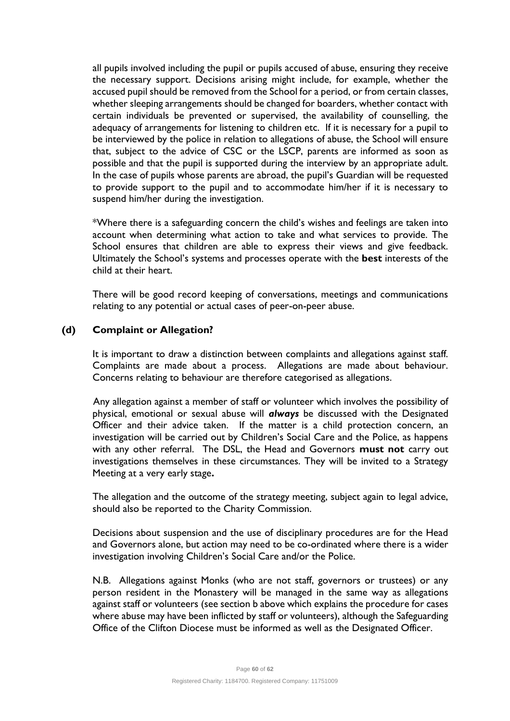all pupils involved including the pupil or pupils accused of abuse, ensuring they receive the necessary support. Decisions arising might include, for example, whether the accused pupil should be removed from the School for a period, or from certain classes, whether sleeping arrangements should be changed for boarders, whether contact with certain individuals be prevented or supervised, the availability of counselling, the adequacy of arrangements for listening to children etc. If it is necessary for a pupil to be interviewed by the police in relation to allegations of abuse, the School will ensure that, subject to the advice of CSC or the LSCP, parents are informed as soon as possible and that the pupil is supported during the interview by an appropriate adult. In the case of pupils whose parents are abroad, the pupil's Guardian will be requested to provide support to the pupil and to accommodate him/her if it is necessary to suspend him/her during the investigation.

\*Where there is a safeguarding concern the child's wishes and feelings are taken into account when determining what action to take and what services to provide. The School ensures that children are able to express their views and give feedback. Ultimately the School's systems and processes operate with the **best** interests of the child at their heart.

There will be good record keeping of conversations, meetings and communications relating to any potential or actual cases of peer-on-peer abuse.

#### **(d) Complaint or Allegation?**

It is important to draw a distinction between complaints and allegations against staff. Complaints are made about a process. Allegations are made about behaviour. Concerns relating to behaviour are therefore categorised as allegations.

 Any allegation against a member of staff or volunteer which involves the possibility of physical, emotional or sexual abuse will *always* be discussed with the Designated Officer and their advice taken. If the matter is a child protection concern, an investigation will be carried out by Children's Social Care and the Police, as happens with any other referral. The DSL, the Head and Governors **must not** carry out investigations themselves in these circumstances. They will be invited to a Strategy Meeting at a very early stage**.** 

The allegation and the outcome of the strategy meeting, subject again to legal advice, should also be reported to the Charity Commission.

Decisions about suspension and the use of disciplinary procedures are for the Head and Governors alone, but action may need to be co-ordinated where there is a wider investigation involving Children's Social Care and/or the Police.

N.B. Allegations against Monks (who are not staff, governors or trustees) or any person resident in the Monastery will be managed in the same way as allegations against staff or volunteers (see section b above which explains the procedure for cases where abuse may have been inflicted by staff or volunteers), although the Safeguarding Office of the Clifton Diocese must be informed as well as the Designated Officer.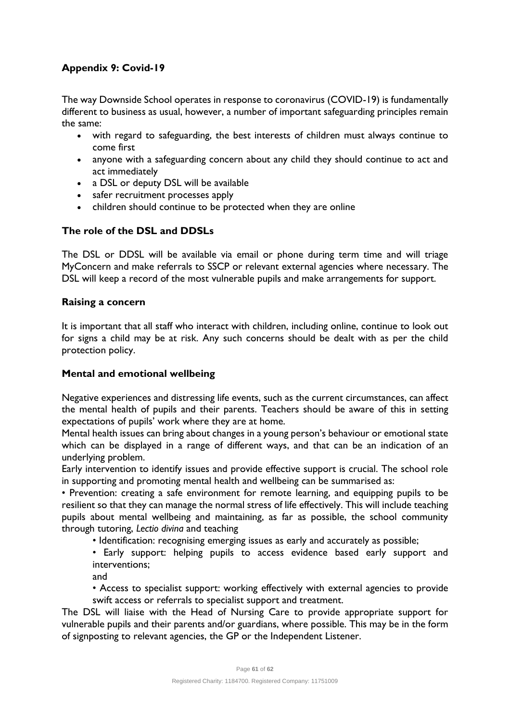# **Appendix 9: Covid-19**

The way Downside School operates in response to coronavirus (COVID-19) is fundamentally different to business as usual, however, a number of important safeguarding principles remain the same:

- with regard to safeguarding, the best interests of children must always continue to come first
- anyone with a safeguarding concern about any child they should continue to act and act immediately
- a DSL or deputy DSL will be available
- safer recruitment processes apply
- children should continue to be protected when they are online

# **The role of the DSL and DDSLs**

The DSL or DDSL will be available via email or phone during term time and will triage MyConcern and make referrals to SSCP or relevant external agencies where necessary. The DSL will keep a record of the most vulnerable pupils and make arrangements for support.

#### **Raising a concern**

It is important that all staff who interact with children, including online, continue to look out for signs a child may be at risk. Any such concerns should be dealt with as per the child protection policy.

#### **Mental and emotional wellbeing**

Negative experiences and distressing life events, such as the current circumstances, can affect the mental health of pupils and their parents. Teachers should be aware of this in setting expectations of pupils' work where they are at home.

Mental health issues can bring about changes in a young person's behaviour or emotional state which can be displayed in a range of different ways, and that can be an indication of an underlying problem.

Early intervention to identify issues and provide effective support is crucial. The school role in supporting and promoting mental health and wellbeing can be summarised as:

• Prevention: creating a safe environment for remote learning, and equipping pupils to be resilient so that they can manage the normal stress of life effectively. This will include teaching pupils about mental wellbeing and maintaining, as far as possible, the school community through tutoring, *Lectio divina* and teaching

• Identification: recognising emerging issues as early and accurately as possible;

• Early support: helping pupils to access evidence based early support and interventions;

and

• Access to specialist support: working effectively with external agencies to provide swift access or referrals to specialist support and treatment.

The DSL will liaise with the Head of Nursing Care to provide appropriate support for vulnerable pupils and their parents and/or guardians, where possible. This may be in the form of signposting to relevant agencies, the GP or the Independent Listener.